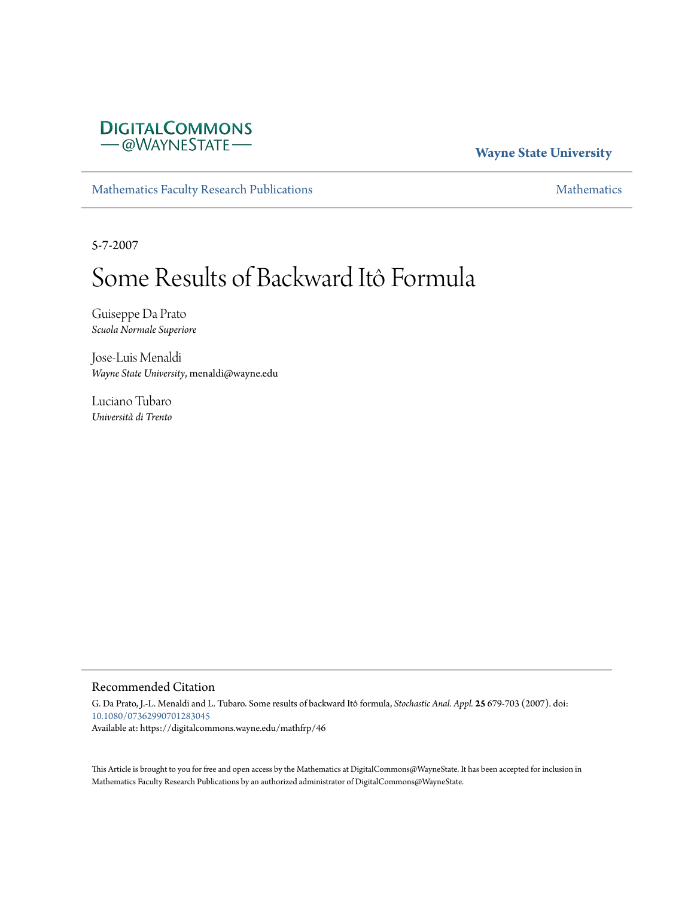# **DIGITALCOMMONS** -@WAYNESTATE-

# **Wayne State University**

[Mathematics Faculty Research Publications](https://digitalcommons.wayne.edu/mathfrp) **[Mathematics](https://digitalcommons.wayne.edu/math)** Mathematics

5-7-2007

# Some Results of Backward Itô Formula

Guiseppe Da Prato *Scuola Normale Superiore*

Jose-Luis Menaldi *Wayne State University*, menaldi@wayne.edu

Luciano Tubaro *Università di Trento*

## Recommended Citation

G. Da Prato, J.-L. Menaldi and L. Tubaro. Some results of backward Itô formula, *Stochastic Anal. Appl.* **25** 679-703 (2007). doi: [10.1080/07362990701283045](https://dx.doi.org/10.1080/07362990701283045) Available at: https://digitalcommons.wayne.edu/mathfrp/46

This Article is brought to you for free and open access by the Mathematics at DigitalCommons@WayneState. It has been accepted for inclusion in Mathematics Faculty Research Publications by an authorized administrator of DigitalCommons@WayneState.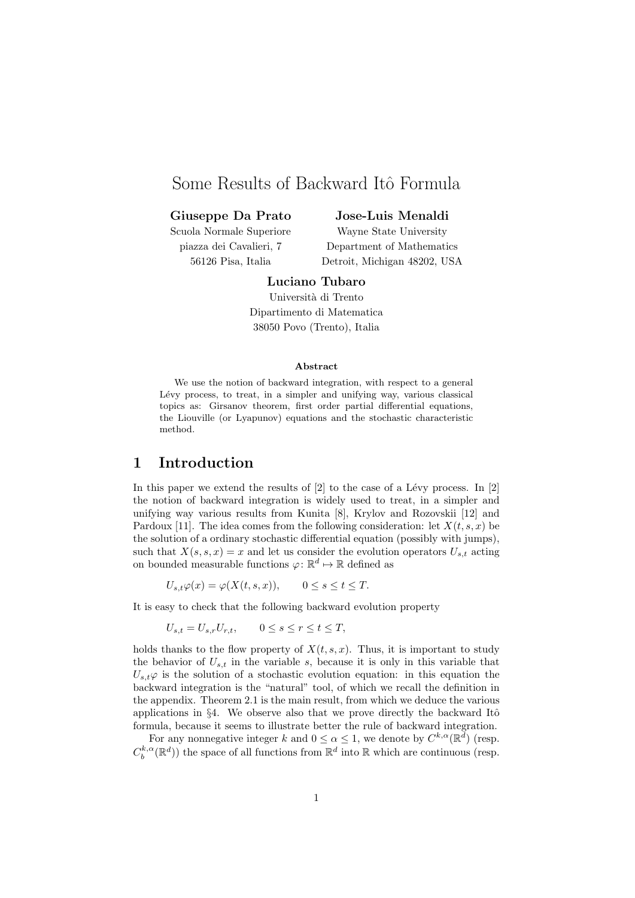# Some Results of Backward Itô Formula

## **Giuseppe Da Prato**

Scuola Normale Superiore piazza dei Cavalieri, 7 56126 Pisa, Italia

## **Jose-Luis Menaldi**

Wayne State University Department of Mathematics Detroit, Michigan 48202, USA

# **Luciano Tubaro**

Universit`a di Trento Dipartimento di Matematica 38050 Povo (Trento), Italia

#### **Abstract**

We use the notion of backward integration, with respect to a general Lévy process, to treat, in a simpler and unifying way, various classical topics as: Girsanov theorem, first order partial differential equations, the Liouville (or Lyapunov) equations and the stochastic characteristic method.

## **1 Introduction**

In this paper we extend the results of  $[2]$  to the case of a Lévy process. In  $[2]$ the notion of backward integration is widely used to treat, in a simpler and unifying way various results from Kunita [8], Krylov and Rozovskii [12] and Pardoux [11]. The idea comes from the following consideration: let  $X(t, s, x)$  be the solution of a ordinary stochastic differential equation (possibly with jumps), such that  $X(s, s, x) = x$  and let us consider the evolution operators  $U_{s,t}$  acting on bounded measurable functions  $\varphi \colon \mathbb{R}^d \mapsto \mathbb{R}$  defined as

 $U_{s,t}\varphi(x) = \varphi(X(t,s,x)),$  0  $\leq s \leq t \leq T.$ 

It is easy to check that the following backward evolution property

$$
U_{s,t} = U_{s,r}U_{r,t}, \qquad 0 \le s \le r \le t \le T,
$$

holds thanks to the flow property of  $X(t,s,x)$ . Thus, it is important to study the behavior of  $U_{s,t}$  in the variable  $s$ , because it is only in this variable that  $U_{s,t}\varphi$  is the solution of a stochastic evolution equation: in this equation the backward integration is the "natural" tool, of which we recall the definition in the appendix. Theorem 2.1 is the main result, from which we deduce the various applications in §4. We observe also that we prove directly the backward Itô formula, because it seems to illustrate better the rule of backward integration.

For any nonnegative integer *k* and  $0 \le \alpha \le 1$ , we denote by  $C^{k,\alpha}(\mathbb{R}^d)$  (resp.  $C_b^{k,\alpha}(\mathbb{R}^d)$ ) the space of all functions from  $\mathbb{R}^d$  into  $\mathbb R$  which are continuous (resp.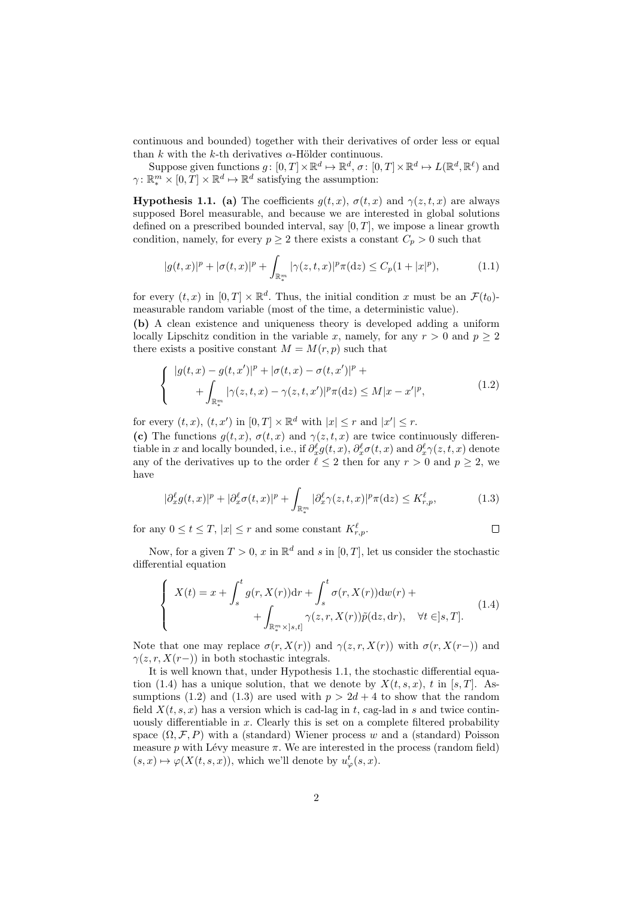continuous and bounded) together with their derivatives of order less or equal than  $k$  with the  $k$ -th derivatives  $\alpha$ -Hölder continuous.

Suppose given functions  $g: [0, T] \times \mathbb{R}^d \mapsto \mathbb{R}^d, \sigma: [0, T] \times \mathbb{R}^d \mapsto L(\mathbb{R}^d, \mathbb{R}^\ell)$  and *γ*:  $\mathbb{R}^m_* \times [0, T] \times \mathbb{R}^d \mapsto \mathbb{R}^d$  satisfying the assumption:

**Hypothesis 1.1.** (a) The coefficients  $g(t, x)$ ,  $\sigma(t, x)$  and  $\gamma(z, t, x)$  are always supposed Borel measurable, and because we are interested in global solutions defined on a prescribed bounded interval, say [0*, T*], we impose a linear growth condition, namely, for every  $p \geq 2$  there exists a constant  $C_p > 0$  such that

$$
|g(t,x)|^p + |\sigma(t,x)|^p + \int_{\mathbb{R}^m_*} |\gamma(z,t,x)|^p \pi(\mathrm{d}z) \le C_p (1+|x|^p),\tag{1.1}
$$

for every  $(t, x)$  in  $[0, T] \times \mathbb{R}^d$ . Thus, the initial condition x must be an  $\mathcal{F}(t_0)$ measurable random variable (most of the time, a deterministic value).

**(b)** A clean existence and uniqueness theory is developed adding a uniform locally Lipschitz condition in the variable *x*, namely, for any  $r > 0$  and  $p \geq 2$ there exists a positive constant  $M = M(r, p)$  such that

$$
\begin{cases} |g(t,x) - g(t,x')|^p + |\sigma(t,x) - \sigma(t,x')|^p + \\ \qquad + \int_{\mathbb{R}^m_*} |\gamma(z,t,x) - \gamma(z,t,x')|^p \pi(\mathrm{d}z) \le M|x - x'|^p, \end{cases} \tag{1.2}
$$

for every  $(t, x)$ ,  $(t, x')$  in  $[0, T] \times \mathbb{R}^d$  with  $|x| \leq r$  and  $|x'| \leq r$ .

**(c)** The functions  $g(t, x)$ ,  $\sigma(t, x)$  and  $\gamma(z, t, x)$  are twice continuously differentiable in *x* and locally bounded, i.e., if  $\partial_x^{\ell} g(t, x)$ ,  $\partial_x^{\ell} \sigma(t, x)$  and  $\partial_x^{\ell} \gamma(z, t, x)$  denote any of the derivatives up to the order  $\ell \leq 2$  then for any  $r > 0$  and  $p \geq 2$ , we have

$$
|\partial_x^{\ell} g(t,x)|^p + |\partial_x^{\ell} \sigma(t,x)|^p + \int_{\mathbb{R}^m_*} |\partial_x^{\ell} \gamma(z,t,x)|^p \pi(\mathrm{d}z) \le K_{r,p}^{\ell},\tag{1.3}
$$

for any  $0 \le t \le T$ ,  $|x| \le r$  and some constant  $K_{r,p}^{\ell}$ .  $\Box$ 

Now, for a given  $T > 0$ , x in  $\mathbb{R}^d$  and s in  $[0, T]$ , let us consider the stochastic differential equation

$$
\begin{cases}\nX(t) = x + \int_{s}^{t} g(r, X(r)) dr + \int_{s}^{t} \sigma(r, X(r)) dw(r) + \\
\qquad + \int_{\mathbb{R}_{*}^{m} \times ]s, t]} \gamma(z, r, X(r)) \tilde{p}(dz, dr), \quad \forall t \in ]s, T].\n\end{cases}
$$
\n(1.4)

Note that one may replace  $\sigma(r, X(r))$  and  $\gamma(z, r, X(r))$  with  $\sigma(r, X(r-))$  and  $\gamma(z, r, X(r-))$  in both stochastic integrals.

It is well known that, under Hypothesis 1.1, the stochastic differential equation (1.4) has a unique solution, that we denote by  $X(t, s, x)$ , t in [s, T]. Assumptions (1.2) and (1.3) are used with  $p > 2d + 4$  to show that the random field  $X(t, s, x)$  has a version which is cad-lag in  $t$ , cag-lad in  $s$  and twice continuously differentiable in *x.* Clearly this is set on a complete filtered probability space  $(\Omega, \mathcal{F}, P)$  with a (standard) Wiener process *w* and a (standard) Poisson measure  $p$  with Lévy measure  $\pi$ . We are interested in the process (random field)  $(s, x) \mapsto \varphi(X(t, s, x))$ , which we'll denote by  $u^t_{\varphi}(s, x)$ .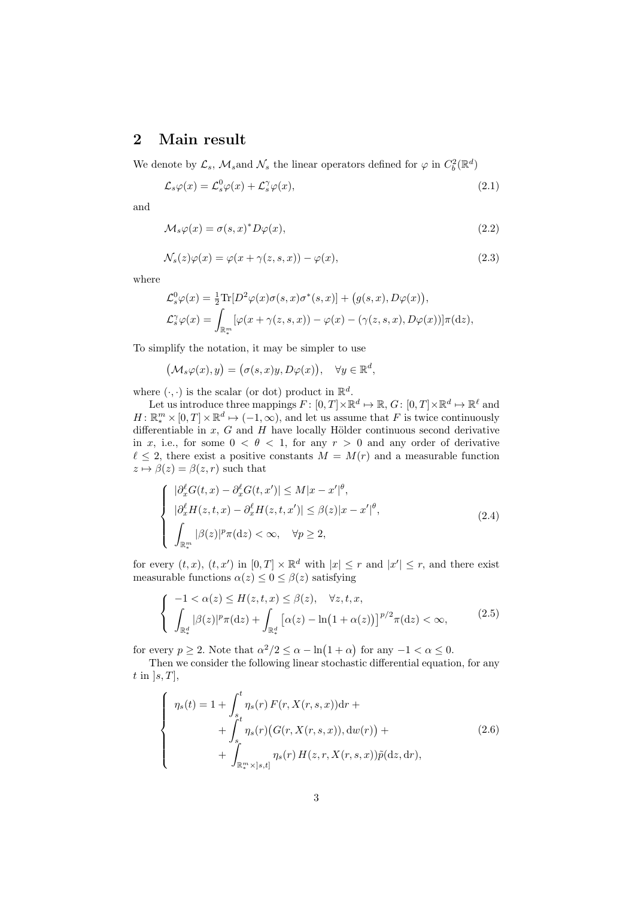# **2 Main result**

We denote by  $\mathcal{L}_s$ ,  $\mathcal{M}_s$  and  $\mathcal{N}_s$  the linear operators defined for  $\varphi$  in  $C_b^2(\mathbb{R}^d)$ 

$$
\mathcal{L}_s \varphi(x) = \mathcal{L}_s^0 \varphi(x) + \mathcal{L}_s^{\gamma} \varphi(x),\tag{2.1}
$$

and

$$
\mathcal{M}_s \varphi(x) = \sigma(s, x)^* D\varphi(x), \qquad (2.2)
$$

$$
\mathcal{N}_s(z)\varphi(x) = \varphi(x + \gamma(z, s, x)) - \varphi(x),\tag{2.3}
$$

where

$$
\mathcal{L}_s^0 \varphi(x) = \frac{1}{2} \text{Tr} [D^2 \varphi(x) \sigma(s, x) \sigma^*(s, x)] + (g(s, x), D\varphi(x)),
$$
  

$$
\mathcal{L}_s^{\gamma} \varphi(x) = \int_{\mathbb{R}_*^m} [\varphi(x + \gamma(z, s, x)) - \varphi(x) - (\gamma(z, s, x), D\varphi(x))] \pi(\mathrm{d}z),
$$

To simplify the notation, it may be simpler to use

$$
\bigl({\mathcal M}_s\varphi(x),y\bigr)=\bigl(\sigma(s,x)y,D\varphi(x)\bigr),\quad \forall y\in{\mathbb R}^d,
$$

where  $(\cdot, \cdot)$  is the scalar (or dot) product in  $\mathbb{R}^d$ .

Let us introduce three mappings  $F: [0, T] \times \mathbb{R}^d \mapsto \mathbb{R}, G: [0, T] \times \mathbb{R}^d \mapsto \mathbb{R}^\ell$  and  $H: \mathbb{R}^m_* \times [0, T] \times \mathbb{R}^d \mapsto (-1, \infty)$ , and let us assume that *F* is twice continuously differentiable in  $x$ ,  $G$  and  $H$  have locally Hölder continuous second derivative in *x*, i.e., for some  $0 < \theta < 1$ , for any  $r > 0$  and any order of derivative  $\ell \leq 2$ , there exist a positive constants  $M = M(r)$  and a measurable function  $z \mapsto \beta(z) = \beta(z, r)$  such that

$$
\begin{cases}\n|\partial_x^{\ell} G(t, x) - \partial_x^{\ell} G(t, x')| \leq M|x - x'|^{\theta}, \\
|\partial_x^{\ell} H(z, t, x) - \partial_x^{\ell} H(z, t, x')| \leq \beta(z)|x - x'|^{\theta}, \\
\int_{\mathbb{R}_{*}^{m}} |\beta(z)|^{p} \pi(\mathrm{d}z) < \infty, \quad \forall p \geq 2,\n\end{cases}
$$
\n(2.4)

for every  $(t, x)$ ,  $(t, x')$  in  $[0, T] \times \mathbb{R}^d$  with  $|x| \leq r$  and  $|x'| \leq r$ , and there exist measurable functions  $\alpha(z) \leq 0 \leq \beta(z)$  satisfying

$$
\begin{cases}\n-1 < \alpha(z) \le H(z, t, x) \le \beta(z), \quad \forall z, t, x, \\
\int_{\mathbb{R}_*^d} |\beta(z)|^p \pi(\mathrm{d}z) + \int_{\mathbb{R}_*^d} \left[\alpha(z) - \ln(1 + \alpha(z))\right]^{p/2} \pi(\mathrm{d}z) < \infty,\n\end{cases} \tag{2.5}
$$

for every  $p \ge 2$ . Note that  $\alpha^2/2 \le \alpha - \ln(1 + \alpha)$  for any  $-1 < \alpha \le 0$ .

Then we consider the following linear stochastic differential equation, for any *t* in ]*s, T*],

$$
\begin{cases}\n\eta_s(t) = 1 + \int_s^t \eta_s(r) F(r, X(r, s, x)) dr + \\
+ \int_s^t \eta_s(r) (G(r, X(r, s, x)), dw(r)) + \\
+ \int_{\mathbb{R}_*^m \times ]s, t]} \eta_s(r) H(z, r, X(r, s, x)) \tilde{p}(dz, dr),\n\end{cases}
$$
\n(2.6)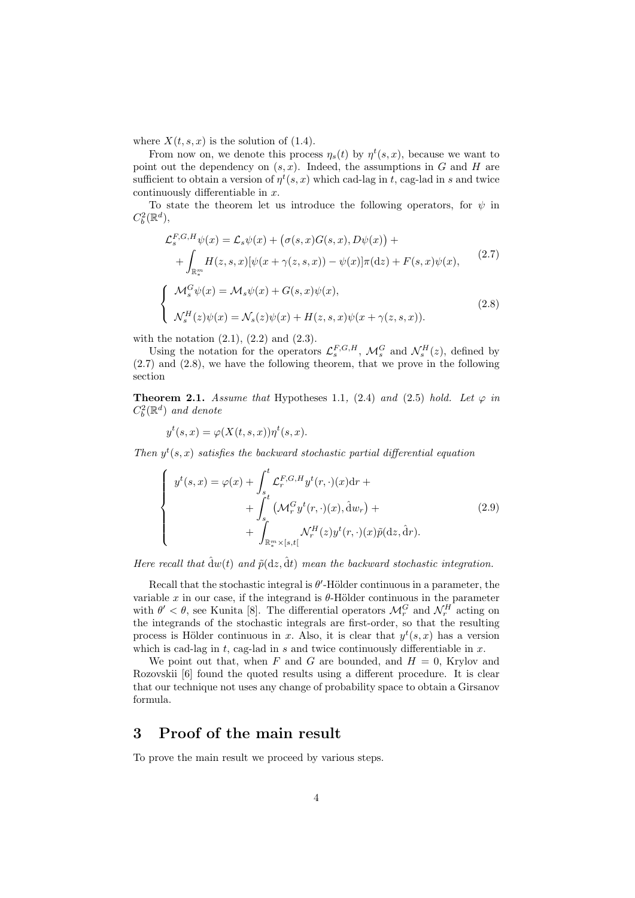where  $X(t, s, x)$  is the solution of (1.4).

From now on, we denote this process  $\eta_s(t)$  by  $\eta^t(s, x)$ , because we want to point out the dependency on  $(s, x)$ . Indeed, the assumptions in *G* and *H* are sufficient to obtain a version of  $\eta^t(s, x)$  which cad-lag in *t*, cag-lad in *s* and twice continuously differentiable in *x*.

To state the theorem let us introduce the following operators, for  $\psi$  in  $C_b^2(\mathbb{R}^d)$ ,

$$
\mathcal{L}_{s}^{F,G,H}\psi(x) = \mathcal{L}_{s}\psi(x) + (\sigma(s,x)G(s,x), D\psi(x)) +
$$
  
+ 
$$
\int_{\mathbb{R}_{*}^{m}} H(z,s,x)[\psi(x + \gamma(z,s,x)) - \psi(x)]\pi(\mathrm{d}z) + F(s,x)\psi(x),
$$
  

$$
\begin{cases} \mathcal{M}_{s}^{G}\psi(x) = \mathcal{M}_{s}\psi(x) + G(s,x)\psi(x), \\ \mathcal{N}_{s}^{H}(z)\psi(x) = \mathcal{N}_{s}(z)\psi(x) + H(z,s,x)\psi(x + \gamma(z,s,x)). \end{cases}
$$
(2.8)

with the notation  $(2.1)$ ,  $(2.2)$  and  $(2.3)$ .

Using the notation for the operators  $\mathcal{L}_{s}^{F,G,H}$ ,  $\mathcal{M}_{s}^{G}$  and  $\mathcal{N}_{s}^{H}(z)$ , defined by (2.7) and (2.8), we have the following theorem, that we prove in the following section

**Theorem 2.1.** *Assume that* Hypotheses 1.1, (2.4) *and* (2.5) *hold.* Let  $\varphi$  *in*  $C_b^2(\mathbb{R}^d)$  *and denote* 

$$
y^{t}(s,x) = \varphi(X(t,s,x))\eta^{t}(s,x).
$$

*Then*  $y^t(s, x)$  *satisfies the backward stochastic partial differential equation* 

$$
\begin{cases}\ny^{t}(s,x) = \varphi(x) + \int_{s}^{t} \mathcal{L}_{r}^{F,G,H} y^{t}(r,\cdot)(x) dr + \n+ \int_{s}^{t} (\mathcal{M}_{r}^{G} y^{t}(r,\cdot)(x), \hat{d}w_{r}) + \n+ \int_{\mathbb{R}_{*}^{m} \times [s,t]} \mathcal{N}_{r}^{H}(z) y^{t}(r,\cdot)(x) \tilde{p}(dz, \hat{d}r).\n\end{cases}
$$
\n(2.9)

*Here recall that*  $\hat{d}w(t)$  *and*  $\tilde{p}(dz, \hat{d}t)$  *mean the backward stochastic integration.* 

Recall that the stochastic integral is  $\theta'$ -Hölder continuous in a parameter, the variable  $x$  in our case, if the integrand is  $\theta$ -Hölder continuous in the parameter with  $\theta' < \theta$ , see Kunita [8]. The differential operators  $\mathcal{M}_r^G$  and  $\mathcal{N}_r^H$  acting on the integrands of the stochastic integrals are first-order, so that the resulting process is Hölder continuous in *x*. Also, it is clear that  $y^t(s, x)$  has a version which is cad-lag in *t,* cag-lad in *s* and twice continuously differentiable in *x*.

We point out that, when  $F$  and  $G$  are bounded, and  $H = 0$ , Krylov and Rozovskii [6] found the quoted results using a different procedure. It is clear that our technique not uses any change of probability space to obtain a Girsanov formula.

## **3 Proof of the main result**

To prove the main result we proceed by various steps.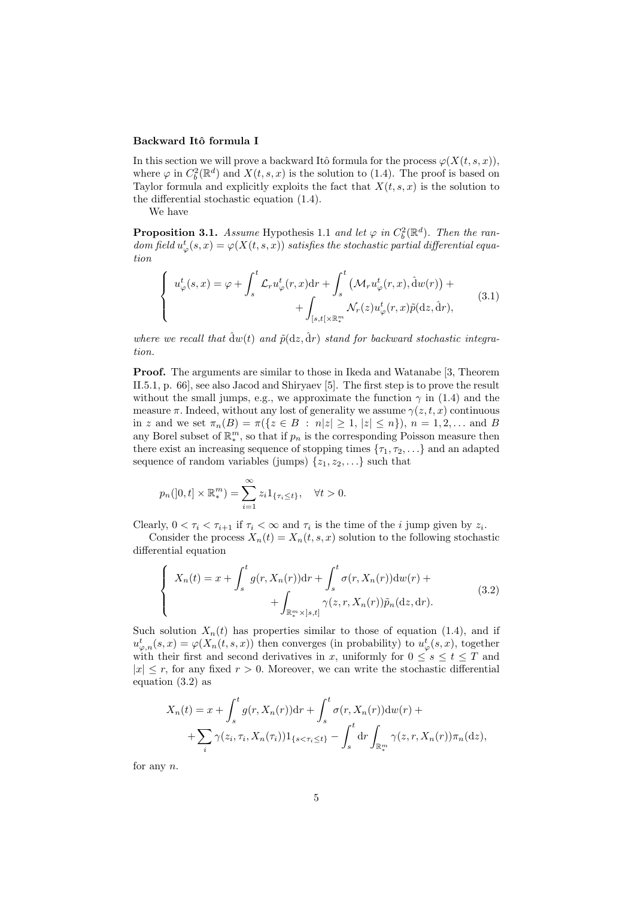#### Backward Itô formula I

In this section we will prove a backward Itô formula for the process  $\varphi(X(t, s, x))$ , where  $\varphi$  in  $C_b^2(\mathbb{R}^d)$  and  $X(t, s, x)$  is the solution to (1.4). The proof is based on Taylor formula and explicitly exploits the fact that  $X(t, s, x)$  is the solution to the differential stochastic equation (1.4).

We have

**Proposition 3.1.** *Assume* Hypothesis 1.1 *and let*  $\varphi$  *in*  $C_b^2(\mathbb{R}^d)$ *. Then the random field*  $u^t_{\varphi}(s, x) = \varphi(X(t, s, x))$  *satisfies the stochastic partial differential equation*

$$
\begin{cases}\n u_{\varphi}^{t}(s,x) = \varphi + \int_{s}^{t} \mathcal{L}_{r} u_{\varphi}^{t}(r,x) dr + \int_{s}^{t} \left( \mathcal{M}_{r} u_{\varphi}^{t}(r,x), \hat{d}w(r) \right) + \n+ \int_{[s,t[\times \mathbb{R}_{*}^{m}]} \mathcal{N}_{r}(z) u_{\varphi}^{t}(r,x) \tilde{p}(\mathrm{d}z, \hat{\mathrm{d}}r), \n\end{cases} \tag{3.1}
$$

where we recall that  $\hat{d}w(t)$  and  $\tilde{p}(dz, \hat{dr})$  stand for backward stochastic integra*tion.*

**Proof.** The arguments are similar to those in Ikeda and Watanabe [3, Theorem II.5.1, p. 66], see also Jacod and Shiryaev [5]. The first step is to prove the result without the small jumps, e.g., we approximate the function  $\gamma$  in (1.4) and the measure  $\pi$ . Indeed, without any lost of generality we assume  $\gamma(z, t, x)$  continuous in z and we set  $\pi_n(B) = \pi({z \in B : n|z| \ge 1, |z| \le n}), n = 1, 2, ...$  and B any Borel subset of  $\mathbb{R}_{*}^{m}$ , so that if  $p_{n}$  is the corresponding Poisson measure then there exist an increasing sequence of stopping times  $\{\tau_1, \tau_2, \ldots\}$  and an adapted sequence of random variables (jumps)  $\{z_1, z_2, \ldots\}$  such that

$$
p_n(]0,t] \times \mathbb{R}_*^m) = \sum_{i=1}^{\infty} z_i 1_{\{\tau_i \le t\}}, \quad \forall t > 0.
$$

Clearly,  $0 < \tau_i < \tau_{i+1}$  if  $\tau_i < \infty$  and  $\tau_i$  is the time of the *i* jump given by  $z_i$ .

Consider the process  $X_n(t) = X_n(t, s, x)$  solution to the following stochastic differential equation

$$
\begin{cases}\nX_n(t) = x + \int_s^t g(r, X_n(r))dr + \int_s^t \sigma(r, X_n(r))dw(r) + \\
\qquad + \int_{\mathbb{R}_*^m \times ]s, t]} \gamma(z, r, X_n(r))\tilde{p}_n(\mathrm{d}z, \mathrm{d}r).\n\end{cases} \tag{3.2}
$$

Such solution  $X_n(t)$  has properties similar to those of equation (1.4), and if  $u^t_{\varphi,n}(s,x) = \varphi(X_n(t,s,x))$  then converges (in probability) to  $u^t_{\varphi}(s,x)$ , together with their first and second derivatives in *x*, uniformly for  $0 \leq s \leq t \leq T$  and  $|x| \leq r$ , for any fixed  $r > 0$ . Moreover, we can write the stochastic differential equation (3.2) as

$$
X_n(t) = x + \int_s^t g(r, X_n(r)) dr + \int_s^t \sigma(r, X_n(r)) dw(r) +
$$
  
+ 
$$
\sum_i \gamma(z_i, \tau_i, X_n(\tau_i)) 1_{\{s < \tau_i \le t\}} - \int_s^t dr \int_{\mathbb{R}_*^m} \gamma(z, r, X_n(r)) \pi_n(dz),
$$

for any *n.*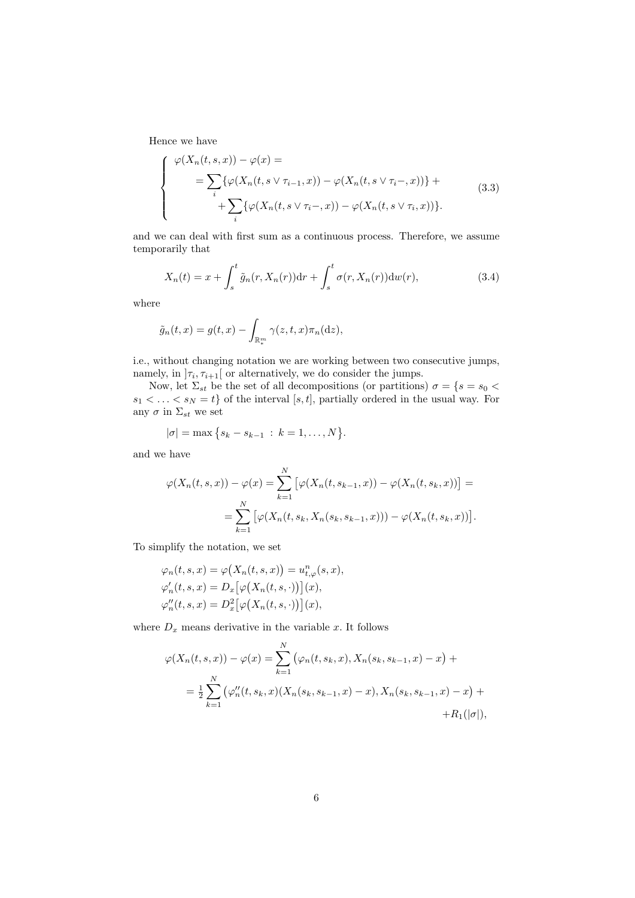Hence we have

$$
\begin{cases}\n\varphi(X_n(t,s,x)) - \varphi(x) = \\
= \sum_i \{\varphi(X_n(t,s \vee \tau_{i-1},x)) - \varphi(X_n(t,s \vee \tau_i-,x))\} + \\
+ \sum_i \{\varphi(X_n(t,s \vee \tau_i-,x)) - \varphi(X_n(t,s \vee \tau_i,x))\}.\n\end{cases}
$$
\n(3.3)

and we can deal with first sum as a continuous process. Therefore, we assume temporarily that

$$
X_n(t) = x + \int_s^t \tilde{g}_n(r, X_n(r))dr + \int_s^t \sigma(r, X_n(r))dw(r), \qquad (3.4)
$$

where

$$
\tilde{g}_n(t,x) = g(t,x) - \int_{\mathbb{R}^m_*} \gamma(z,t,x)\pi_n(\mathrm{d}z),
$$

i.e., without changing notation we are working between two consecutive jumps, namely, in  $\left[\tau_i, \tau_{i+1}\right]$  or alternatively, we do consider the jumps.

Now, let  $\Sigma_{st}$  be the set of all decompositions (or partitions)  $\sigma = \{s = s_0 \leq s \leq t \leq s \}$  $s_1 < \ldots < s_N = t$  of the interval [*s, t*], partially ordered in the usual way. For any  $\sigma$  in  $\Sigma_{st}$  we set

$$
|\sigma| = \max\big\{s_k - s_{k-1} \,:\, k = 1,\ldots,N\big\}.
$$

and we have

$$
\varphi(X_n(t,s,x)) - \varphi(x) = \sum_{k=1}^N \left[ \varphi(X_n(t,s_{k-1},x)) - \varphi(X_n(t,s_k,x)) \right] =
$$
  
= 
$$
\sum_{k=1}^N \left[ \varphi(X_n(t,s_k,X_n(s_k,s_{k-1},x))) - \varphi(X_n(t,s_k,x)) \right].
$$

To simplify the notation, we set

$$
\varphi_n(t, s, x) = \varphi(X_n(t, s, x)) = u_{t, \varphi}^n(s, x),
$$
  

$$
\varphi'_n(t, s, x) = D_x \big[\varphi(X_n(t, s, \cdot))\big](x),
$$
  

$$
\varphi''_n(t, s, x) = D_x^2 \big[\varphi(X_n(t, s, \cdot))\big](x),
$$

where  $D_x$  means derivative in the variable  $x$ . It follows

$$
\varphi(X_n(t,s,x)) - \varphi(x) = \sum_{k=1}^N (\varphi_n(t,s_k,x), X_n(s_k,s_{k-1},x) - x) +
$$
  
=  $\frac{1}{2} \sum_{k=1}^N (\varphi_n''(t,s_k,x) (X_n(s_k,s_{k-1},x) - x), X_n(s_k,s_{k-1},x) - x) +$   
+  $R_1(|\sigma|),$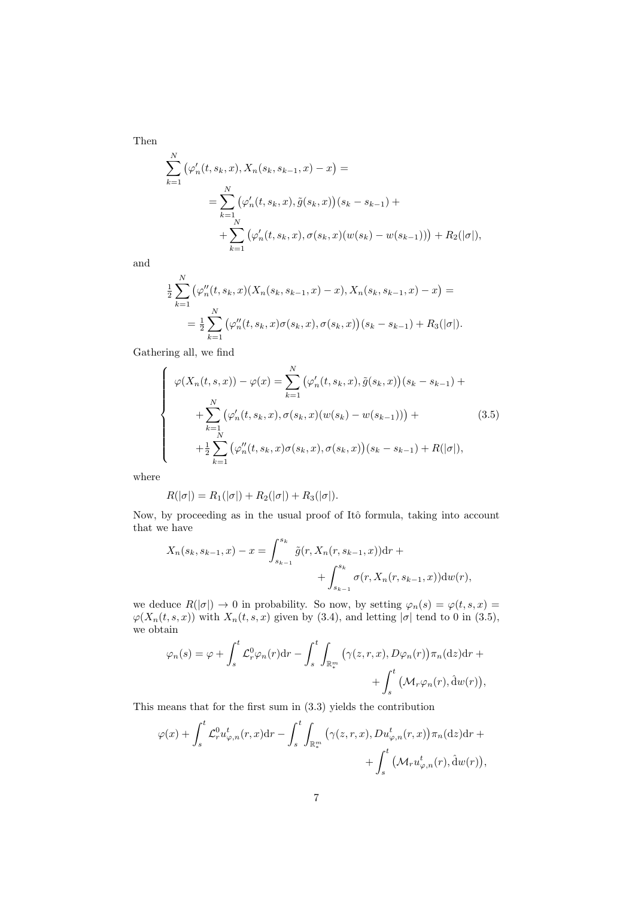Then

$$
\sum_{k=1}^{N} (\varphi'_n(t, s_k, x), X_n(s_k, s_{k-1}, x) - x) =
$$
\n
$$
= \sum_{k=1}^{N} (\varphi'_n(t, s_k, x), \tilde{g}(s_k, x))(s_k - s_{k-1}) +
$$
\n
$$
+ \sum_{k=1}^{N} (\varphi'_n(t, s_k, x), \sigma(s_k, x)(w(s_k) - w(s_{k-1}))) + R_2(|\sigma|),
$$

and

$$
\frac{1}{2} \sum_{k=1}^{N} (\varphi''_n(t, s_k, x)(X_n(s_k, s_{k-1}, x) - x), X_n(s_k, s_{k-1}, x) - x) =
$$
\n
$$
= \frac{1}{2} \sum_{k=1}^{N} (\varphi''_n(t, s_k, x) \sigma(s_k, x), \sigma(s_k, x))(s_k - s_{k-1}) + R_3(|\sigma|).
$$

Gathering all, we find

$$
\begin{cases}\n\varphi(X_n(t,s,x)) - \varphi(x) = \sum_{k=1}^N (\varphi'_n(t,s_k,x), \tilde{g}(s_k,x))(s_k - s_{k-1}) + \\
+ \sum_{k=1}^N (\varphi'_n(t,s_k,x), \sigma(s_k,x)(w(s_k) - w(s_{k-1}))) + \\
+ \frac{1}{2} \sum_{k=1}^N (\varphi''_n(t,s_k,x) \sigma(s_k,x), \sigma(s_k,x))(s_k - s_{k-1}) + R(|\sigma|),\n\end{cases}
$$
\n(3.5)

where

$$
R(|\sigma|) = R_1(|\sigma|) + R_2(|\sigma|) + R_3(|\sigma|).
$$

Now, by proceeding as in the usual proof of Itô formula, taking into account that we have

$$
X_n(s_k, s_{k-1}, x) - x = \int_{s_{k-1}}^{s_k} \tilde{g}(r, X_n(r, s_{k-1}, x)) dr + \int_{s_{k-1}}^{s_k} \sigma(r, X_n(r, s_{k-1}, x)) dw(r),
$$

we deduce  $R(|\sigma|) \to 0$  in probability. So now, by setting  $\varphi_n(s) = \varphi(t, s, x) =$  $\varphi(X_n(t, s, x))$  with  $X_n(t, s, x)$  given by (3.4), and letting  $|\sigma|$  tend to 0 in (3.5), we obtain

$$
\varphi_n(s) = \varphi + \int_s^t \mathcal{L}_r^0 \varphi_n(r) dr - \int_s^t \int_{\mathbb{R}_*^m} \left( \gamma(z, r, x), D\varphi_n(r) \right) \pi_n(\mathrm{d}z) dr + + \int_s^t \left( \mathcal{M}_r \varphi_n(r), \hat{\mathrm{d}}w(r) \right),
$$

This means that for the first sum in (3.3) yields the contribution

$$
\varphi(x) + \int_s^t \mathcal{L}_r^0 u_{\varphi,n}^t(r,x) dr - \int_s^t \int_{\mathbb{R}_*^m} \left( \gamma(z,r,x), Du_{\varphi,n}^t(r,x) \right) \pi_n(\mathrm{d}z) dr + + \int_s^t \left( \mathcal{M}_r u_{\varphi,n}^t(r), \hat{\mathrm{d}}w(r) \right),
$$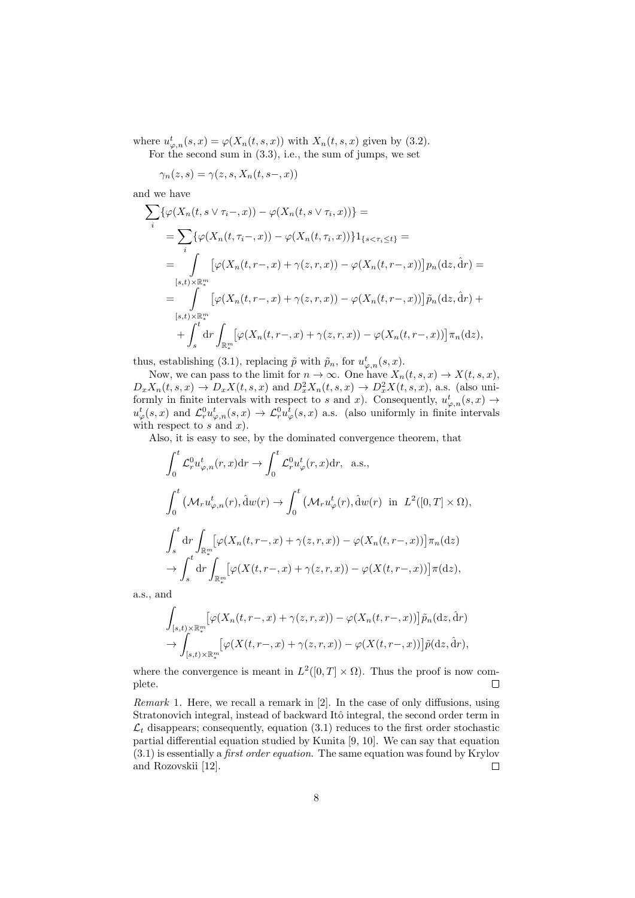where  $u^t_{\varphi,n}(s,x) = \varphi(X_n(t,s,x))$  with  $X_n(t,s,x)$  given by (3.2).

For the second sum in  $(3.3)$ , i.e., the sum of jumps, we set

 $\gamma_n(z, s) = \gamma(z, s, X_n(t, s-, x))$ 

and we have

$$
\sum_{i} \{\varphi(X_n(t, s \vee \tau_i-, x)) - \varphi(X_n(t, s \vee \tau_i, x))\} =
$$
\n
$$
= \sum_{i} \{\varphi(X_n(t, \tau_i-, x)) - \varphi(X_n(t, \tau_i, x))\} 1_{\{s < \tau_i \le t\}} =
$$
\n
$$
= \int_{[s,t) \times \mathbb{R}_+^m} \left[ \varphi(X_n(t, r-, x) + \gamma(z, r, x)) - \varphi(X_n(t, r-, x)) \right] p_n(\mathrm{d}z, \mathrm{d}r) =
$$
\n
$$
= \int_{[s,t) \times \mathbb{R}_+^m} \left[ \varphi(X_n(t, r-, x) + \gamma(z, r, x)) - \varphi(X_n(t, r-, x)) \right] \tilde{p}_n(\mathrm{d}z, \mathrm{d}r) +
$$
\n
$$
+ \int_s^t \mathrm{d}r \int_{\mathbb{R}_+^m} \left[ \varphi(X_n(t, r-, x) + \gamma(z, r, x)) - \varphi(X_n(t, r-, x)) \right] \pi_n(\mathrm{d}z),
$$

thus, establishing (3.1), replacing  $\tilde{p}$  with  $\tilde{p}_n$ , for  $u^t_{\varphi,n}(s,x)$ .

Now, we can pass to the limit for  $n \to \infty$ . One have  $X_n(t, s, x) \to X(t, s, x)$ ,  $D_x X_n(t, s, x) \to D_x X(t, s, x)$  and  $D_x^2 X_n(t, s, x) \to D_x^2 X(t, s, x)$ , a.s. (also uniformly in finite intervals with respect to *s* and *x*). Consequently,  $u^t_{\varphi,n}(s,x) \to$  $u^t_\varphi(s, x)$  and  $\mathcal{L}^0_r u^t_{\varphi,n}(s, x) \to \mathcal{L}^0_r u^t_\varphi(s, x)$  a.s. (also uniformly in finite intervals with respect to *s* and *x*).

Also, it is easy to see, by the dominated convergence theorem, that

$$
\int_0^t \mathcal{L}_r^0 u_{\varphi,n}^t(r,x) dr \to \int_0^t \mathcal{L}_r^0 u_{\varphi}^t(r,x) dr, \text{ a.s.},
$$
  

$$
\int_0^t \left( \mathcal{M}_r u_{\varphi,n}^t(r), \hat{d}w(r) \to \int_0^t \left( \mathcal{M}_r u_{\varphi}^t(r), \hat{d}w(r) \text{ in } L^2([0,T] \times \Omega) \right),
$$
  

$$
\int_s^t dr \int_{\mathbb{R}_+^m} \left[ \varphi(X_n(t,r-,x) + \gamma(z,r,x)) - \varphi(X_n(t,r-,x)) \right] \pi_n(dx)
$$
  

$$
\to \int_s^t dr \int_{\mathbb{R}_+^m} \left[ \varphi(X(t,r-,x) + \gamma(z,r,x)) - \varphi(X(t,r-,x)) \right] \pi(dx),
$$

a.s., and

$$
\int_{[s,t)\times\mathbb{R}_*^m} \left[\varphi(X_n(t,r-,x)+\gamma(z,r,x))-\varphi(X_n(t,r-,x))\right]\tilde{p}_n(\mathrm{d}z,\hat{\mathrm{d}}r)
$$

$$
\to \int_{[s,t)\times\mathbb{R}_*^m} \left[\varphi(X(t,r-,x)+\gamma(z,r,x))-\varphi(X(t,r-,x))\right]\tilde{p}(\mathrm{d}z,\hat{\mathrm{d}}r),
$$

where the convergence is meant in  $L^2([0,T] \times \Omega)$ . Thus the proof is now complete.  $\Box$ 

*Remark* 1*.* Here, we recall a remark in [2]. In the case of only diffusions, using Stratonovich integral, instead of backward Itô integral, the second order term in  $\mathcal{L}_t$  disappears; consequently, equation (3.1) reduces to the first order stochastic partial differential equation studied by Kunita [9, 10]. We can say that equation (3.1) is essentially a *first order equation*. The same equation was found by Krylov and Rozovskii [12].  $\Box$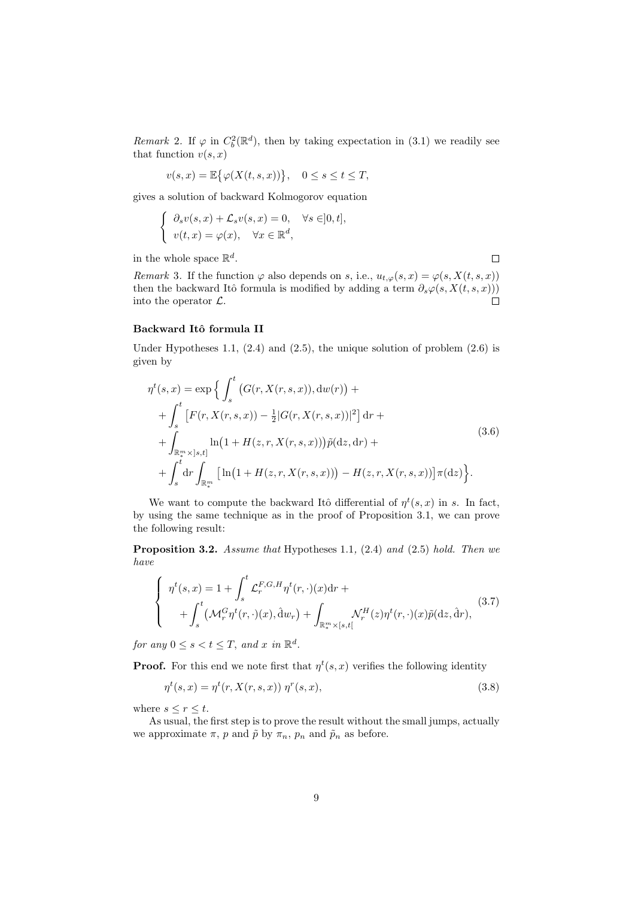*Remark* 2. If  $\varphi$  in  $C_b^2(\mathbb{R}^d)$ , then by taking expectation in (3.1) we readily see that function  $v(s, x)$ 

$$
v(s,x) = \mathbb{E}\big\{\varphi(X(t,s,x))\big\}, \quad 0 \le s \le t \le T,
$$

gives a solution of backward Kolmogorov equation

$$
\begin{cases} \n\partial_s v(s, x) + \mathcal{L}_s v(s, x) = 0, & \forall s \in ]0, t],\\ \n v(t, x) = \varphi(x), & \forall x \in \mathbb{R}^d, \n\end{cases}
$$

in the whole space  $\mathbb{R}^d$ .

*Remark* 3. If the function  $\varphi$  also depends on *s*, i.e.,  $u_{t,\varphi}(s,x) = \varphi(s, X(t, s, x))$ then the backward Itô formula is modified by adding a term  $\partial_s \varphi(s, X(t, s, x)))$ into the operator *L.*  $\Box$ 

 $\Box$ 

#### **Backward Itˆo formula II**

Under Hypotheses 1.1,  $(2.4)$  and  $(2.5)$ , the unique solution of problem  $(2.6)$  is given by

$$
\eta^{t}(s,x) = \exp \Big\{ \int_{s}^{t} \big( G(r, X(r, s, x)), \mathrm{d}w(r) \big) + \\ + \int_{s}^{t} \big[ F(r, X(r, s, x)) - \frac{1}{2} |G(r, X(r, s, x))|^{2} \big] \, \mathrm{d}r + \\ + \int_{\mathbb{R}_{*}^{m} \times ]s, t]} \ln \big( 1 + H(z, r, X(r, s, x)) \big) \tilde{p}(\mathrm{d}z, \mathrm{d}r) + \\ + \int_{s}^{t} \mathrm{d}r \int_{\mathbb{R}_{*}^{m}} \big[ \ln \big( 1 + H(z, r, X(r, s, x)) \big) - H(z, r, X(r, s, x)) \big] \pi(\mathrm{d}z) \Big\}.
$$
\n(3.6)

We want to compute the backward Itô differential of  $\eta^t(s,x)$  in *s*. In fact, by using the same technique as in the proof of Proposition 3.1, we can prove the following result:

**Proposition 3.2.** *Assume that* Hypotheses 1.1*,* (2.4) *and* (2.5) *hold. Then we have*

$$
\begin{cases}\n\eta^t(s,x) = 1 + \int_s^t \mathcal{L}_r^{F,G,H} \eta^t(r,\cdot)(x) dr + \\
\quad + \int_s^t \left(\mathcal{M}_r^G \eta^t(r,\cdot)(x), \hat{\mathbf{d}} w_r\right) + \int_{\mathbb{R}_*^m \times [s,t[} \mathcal{N}_r^H(z) \eta^t(r,\cdot)(x) \tilde{p}(\mathbf{d}z, \hat{\mathbf{d}} r),\n\end{cases} \tag{3.7}
$$

*for any*  $0 \le s < t \le T$ , and *x in*  $\mathbb{R}^d$ .

**Proof.** For this end we note first that  $\eta^t(s, x)$  verifies the following identity

$$
\eta^t(s, x) = \eta^t(r, X(r, s, x)) \eta^r(s, x), \tag{3.8}
$$

where  $s \leq r \leq t$ .

As usual, the first step is to prove the result without the small jumps, actually we approximate  $\pi$ , *p* and  $\tilde{p}$  by  $\pi_n$ ,  $p_n$  and  $\tilde{p}_n$  as before.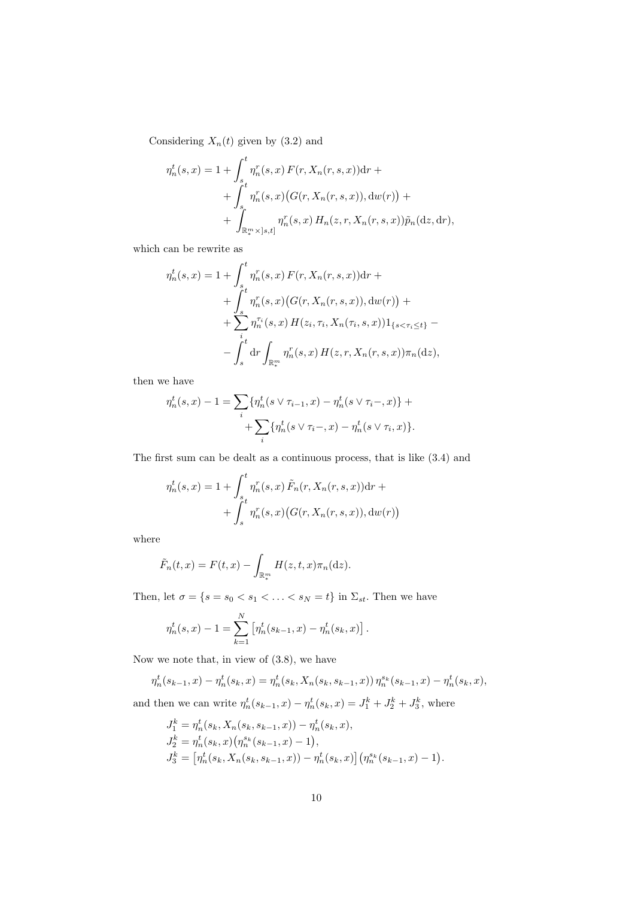Considering  $X_n(t)$  given by (3.2) and

$$
\eta_n^t(s, x) = 1 + \int_{s}^t \eta_n^r(s, x) F(r, X_n(r, s, x)) dr + \int_{s}^t \eta_n^r(s, x) (G(r, X_n(r, s, x)), dw(r)) + \int_{\mathbb{R}_*^m \times ]s, t]}^r \eta_n^r(s, x) H_n(z, r, X_n(r, s, x)) \tilde{p}_n(dz, dr),
$$

which can be rewrite as

$$
\eta_n^t(s, x) = 1 + \int_{s}^t \eta_n^r(s, x) F(r, X_n(r, s, x)) dr + \int_{s}^t \eta_n^r(s, x) (G(r, X_n(r, s, x)), dw(r)) + \sum_{i}^t \eta_n^r(s, x) H(z_i, \tau_i, X_n(\tau_i, s, x)) 1_{\{s < \tau_i \le t\}} - \int_{s}^t dr \int_{\mathbb{R}_+^m} \eta_n^r(s, x) H(z, r, X_n(r, s, x)) \pi_n(\mathrm{d}z),
$$

then we have

$$
\eta_n^t(s, x) - 1 = \sum_i \{ \eta_n^t(s \lor \tau_{i-1}, x) - \eta_n^t(s \lor \tau_i-, x) \} + + \sum_i \{ \eta_n^t(s \lor \tau_i-, x) - \eta_n^t(s \lor \tau_i, x) \}.
$$

The first sum can be dealt as a continuous process, that is like (3.4) and

$$
\eta_n^t(s, x) = 1 + \int_s^t \eta_n^r(s, x) \tilde{F}_n(r, X_n(r, s, x)) dr + \int_s^t \eta_n^r(s, x) (G(r, X_n(r, s, x)), dw(r))
$$

where

$$
\tilde{F}_n(t,x) = F(t,x) - \int_{\mathbb{R}^m_+} H(z,t,x)\pi_n(\mathrm{d}z).
$$

Then, let  $\sigma = \{s = s_0 < s_1 < \ldots < s_N = t\}$  in  $\Sigma_{st}$ . Then we have

$$
\eta_n^t(s,x) - 1 = \sum_{k=1}^N \left[ \eta_n^t(s_{k-1},x) - \eta_n^t(s_k,x) \right].
$$

Now we note that, in view of (3*.*8)*,* we have

$$
\eta_n^t(s_{k-1},x) - \eta_n^t(s_k,x) = \eta_n^t(s_k,X_n(s_k,s_{k-1},x))\,\eta_n^{s_k}(s_{k-1},x) - \eta_n^t(s_k,x),
$$

and then we can write  $\eta_n^t(s_{k-1}, x) - \eta_n^t(s_k, x) = J_1^k + J_2^k + J_3^k$ , where

$$
J_1^k = \eta_n^t(s_k, X_n(s_k, s_{k-1}, x)) - \eta_n^t(s_k, x),
$$
  
\n
$$
J_2^k = \eta_n^t(s_k, x) (\eta_n^{s_k}(s_{k-1}, x) - 1),
$$
  
\n
$$
J_3^k = [\eta_n^t(s_k, X_n(s_k, s_{k-1}, x)) - \eta_n^t(s_k, x)] (\eta_n^{s_k}(s_{k-1}, x) - 1).
$$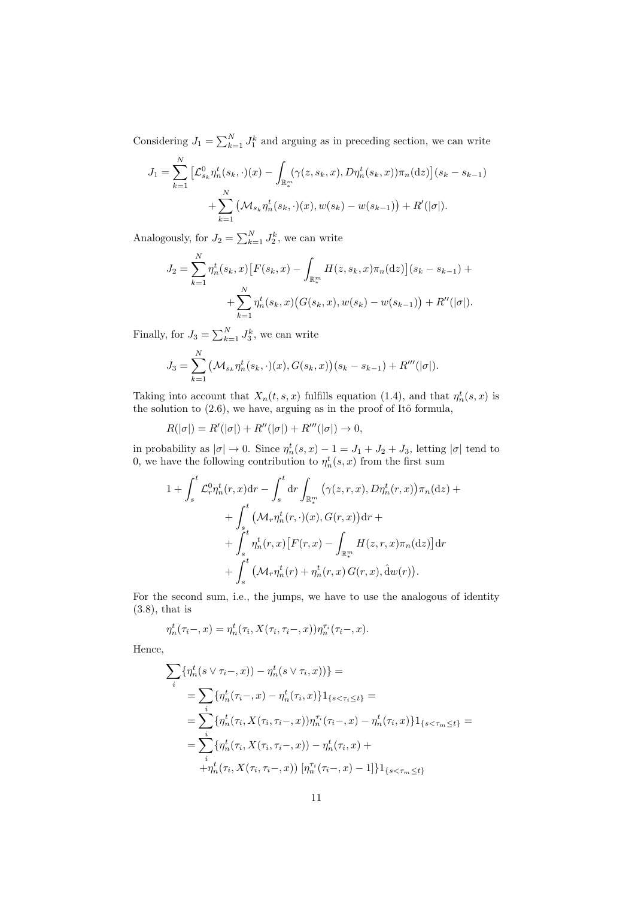Considering  $J_1 = \sum_{k=1}^{N} J_1^k$  and arguing as in preceding section, we can write

$$
J_1 = \sum_{k=1}^N \left[ \mathcal{L}_{s_k}^0 \eta_n^t(s_k, \cdot)(x) - \int_{\mathbb{R}_*^m} (\gamma(z, s_k, x), D\eta_n^t(s_k, x)) \pi_n(\mathrm{d}z) \right] (s_k - s_{k-1}) + \sum_{k=1}^N \left( \mathcal{M}_{s_k} \eta_n^t(s_k, \cdot)(x), w(s_k) - w(s_{k-1}) \right) + R'(|\sigma|).
$$

Analogously, for  $J_2 = \sum_{k=1}^{N} J_2^k$ , we can write

$$
J_2 = \sum_{k=1}^{N} \eta_n^t(s_k, x) \left[ F(s_k, x) - \int_{\mathbb{R}_*^m} H(z, s_k, x) \pi_n(\mathrm{d}z) \right] (s_k - s_{k-1}) + \\ + \sum_{k=1}^{N} \eta_n^t(s_k, x) \left( G(s_k, x), w(s_k) - w(s_{k-1}) \right) + R''(|\sigma|).
$$

Finally, for  $J_3 = \sum_{k=1}^{N} J_3^k$ , we can write

$$
J_3 = \sum_{k=1}^N \left( \mathcal{M}_{s_k} \eta_n^t(s_k, \cdot)(x), G(s_k, x) \right) (s_k - s_{k-1}) + R'''(|\sigma|).
$$

Taking into account that  $X_n(t, s, x)$  fulfills equation (1.4), and that  $\eta_n^t(s, x)$  is the solution to  $(2.6)$ , we have, arguing as in the proof of Itô formula,

$$
R(|\sigma|) = R'(|\sigma|) + R''(|\sigma|) + R'''(|\sigma|) \to 0,
$$

in probability as  $|\sigma| \to 0$ . Since  $\eta_n^t(s, x) - 1 = J_1 + J_2 + J_3$ , letting  $|\sigma|$  tend to 0, we have the following contribution to  $\eta_n^t(s, x)$  from the first sum

$$
1 + \int_{s}^{t} \mathcal{L}_{r}^{0} \eta_{n}^{t}(r, x) dr - \int_{s}^{t} dr \int_{\mathbb{R}_{*}^{m}} (\gamma(z, r, x), D\eta_{n}^{t}(r, x)) \pi_{n}(dz) +
$$
  
+ 
$$
\int_{s}^{t} (\mathcal{M}_{r} \eta_{n}^{t}(r, \cdot)(x), G(r, x)) dr +
$$
  
+ 
$$
\int_{s}^{t} \eta_{n}^{t}(r, x) [F(r, x) - \int_{\mathbb{R}_{*}^{m}} H(z, r, x) \pi_{n}(dz)] dr
$$
  
+ 
$$
\int_{s}^{t} (\mathcal{M}_{r} \eta_{n}^{t}(r) + \eta_{n}^{t}(r, x) G(r, x), \hat{d}w(r)).
$$

For the second sum, i.e., the jumps, we have to use the analogous of identity (3.8), that is

$$
\eta_n^t(\tau_i-,x)=\eta_n^t(\tau_i,X(\tau_i,\tau_i-,x))\eta_n^{\tau_i}(\tau_i-,x).
$$

Hence,

$$
\sum_{i} \{\eta_{n}^{t}(s \vee \tau_{i}-,x)) - \eta_{n}^{t}(s \vee \tau_{i},x)\}\n= \\
= \sum_{i} \{\eta_{n}^{t}(\tau_{i}-,x) - \eta_{n}^{t}(\tau_{i},x)\}\mathbf{1}_{\{s < \tau_{i} \leq t\}} = \\
= \sum_{i} \{\eta_{n}^{t}(\tau_{i}, X(\tau_{i}, \tau_{i}-,x))\eta_{n}^{\tau_{i}}(\tau_{i}-,x) - \eta_{n}^{t}(\tau_{i},x)\}\mathbf{1}_{\{s < \tau_{m} \leq t\}} = \\
= \sum_{i} \{\eta_{n}^{t}(\tau_{i}, X(\tau_{i}, \tau_{i}-,x)) - \eta_{n}^{t}(\tau_{i},x) + \\
+ \eta_{n}^{t}(\tau_{i}, X(\tau_{i}, \tau_{i}-,x))\left[\eta_{n}^{\tau_{i}}(\tau_{i}-,x) - 1\right]\}\mathbf{1}_{\{s < \tau_{m} \leq t\}}
$$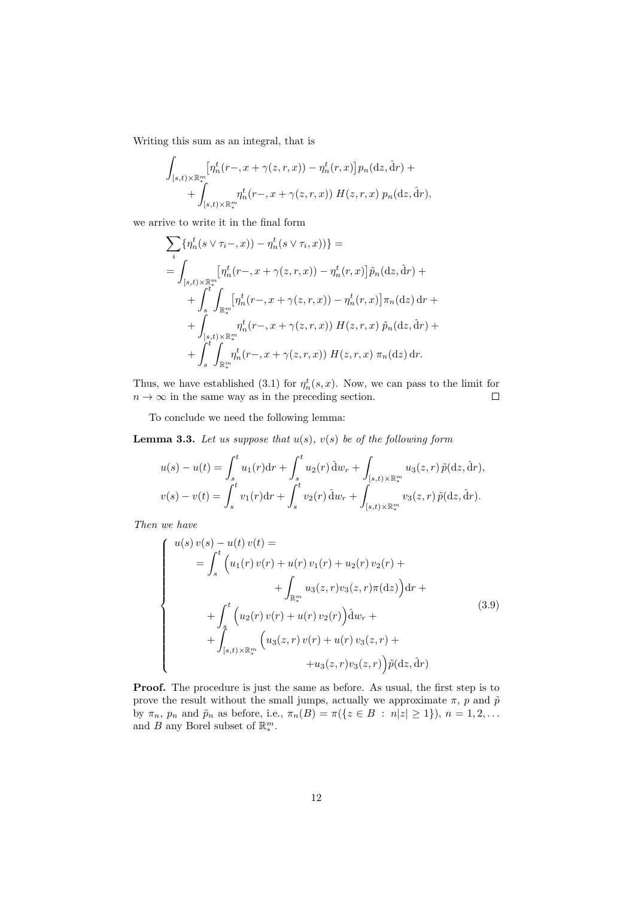Writing this sum as an integral, that is

$$
\int_{[s,t)\times\mathbb{R}_+^m} \left[\eta_n^t(r-,x+\gamma(z,r,x)) - \eta_n^t(r,x)\right] p_n(\mathrm{d}z,\hat{\mathrm{d}}r) + \n+ \int_{[s,t)\times\mathbb{R}_+^m} \eta_n^t(r-,x+\gamma(z,r,x)) H(z,r,x) p_n(\mathrm{d}z,\hat{\mathrm{d}}r),
$$

we arrive to write it in the final form

$$
\sum_{i} \{\eta_{n}^{t}(s \vee \tau_{i}-,x)) - \eta_{n}^{t}(s \vee \tau_{i},x))\} =
$$
\n
$$
= \int_{[s,t) \times \mathbb{R}_{+}^{m}} [\eta_{n}^{t}(r-,x+\gamma(z,r,x)) - \eta_{n}^{t}(r,x)] \tilde{p}_{n}(dz, \hat{d}r) +
$$
\n
$$
+ \int_{s}^{t^{*}} \int_{\mathbb{R}_{+}^{m}} [\eta_{n}^{t}(r-,x+\gamma(z,r,x)) - \eta_{n}^{t}(r,x)] \pi_{n}(dz) dr +
$$
\n
$$
+ \int_{[s,t) \times \mathbb{R}_{+}^{m}} \eta_{n}^{t}(r-,x+\gamma(z,r,x)) H(z,r,x) \tilde{p}_{n}(dz, \hat{d}r) +
$$
\n
$$
+ \int_{s}^{t^{*}} \int_{\mathbb{R}_{+}^{m}} \eta_{n}^{t}(r-,x+\gamma(z,r,x)) H(z,r,x) \pi_{n}(dz) dr.
$$

Thus, we have established (3.1) for  $\eta_n^t(s, x)$ . Now, we can pass to the limit for  $n \to \infty$  in the same way as in the preceding section.

To conclude we need the following lemma:

**Lemma 3.3.** *Let us suppose that u*(*s*)*, v*(*s*) *be of the following form*

$$
u(s) - u(t) = \int_{s}^{t} u_{1}(r) dr + \int_{s}^{t} u_{2}(r) \hat{d}w_{r} + \int_{[s,t) \times \mathbb{R}_{*}^{m}} u_{3}(z, r) \tilde{p}(dz, \hat{d}r),
$$
  

$$
v(s) - v(t) = \int_{s}^{t} v_{1}(r) dr + \int_{s}^{t} v_{2}(r) \hat{d}w_{r} + \int_{[s,t) \times \mathbb{R}_{*}^{m}} v_{3}(z, r) \tilde{p}(dz, \hat{d}r).
$$

*Then we have*

$$
\begin{cases}\nu(s) \, v(s) - u(t) \, v(t) = \\
= \int_{s}^{t} \left( u_1(r) \, v(r) + u(r) \, v_1(r) + u_2(r) \, v_2(r) + \right. \\
\left. + \int_{\mathbb{R}_{+}^{m}} u_3(z, r) v_3(z, r) \pi(\mathrm{d}z) \right) \mathrm{d}r + \\
+ \int_{s}^{t} \left( u_2(r) \, v(r) + u(r) \, v_2(r) \right) \mathrm{d}w_r + \\
+ \int_{[s, t) \times \mathbb{R}_{+}^{m}} \left( u_3(z, r) \, v(r) + u(r) \, v_3(z, r) + \right. \\
\left. + u_3(z, r) v_3(z, r) \right) \tilde{p}(\mathrm{d}z, \mathrm{d}r)\n\end{cases} \tag{3.9}
$$

**Proof.** The procedure is just the same as before. As usual, the first step is to prove the result without the small jumps, actually we approximate  $\pi$ , *p* and  $\tilde{p}$ by  $\pi_n$ ,  $p_n$  and  $\tilde{p}_n$  as before, i.e.,  $\pi_n(B) = \pi({z \in B : n|z| \ge 1}), n = 1, 2, ...$ and *B* any Borel subset of  $\mathbb{R}^m_*$ .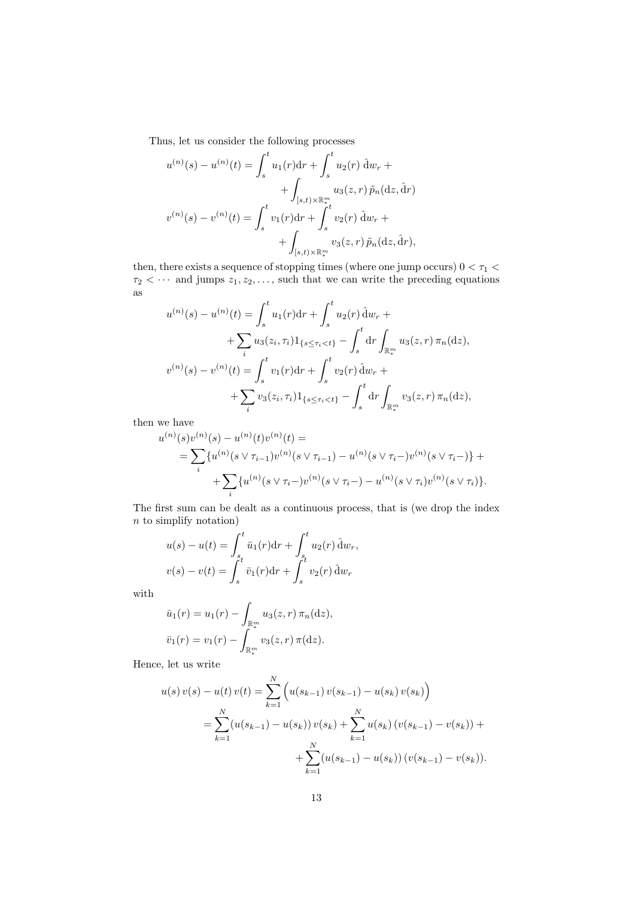Thus, let us consider the following processes

$$
u^{(n)}(s) - u^{(n)}(t) = \int_s^t u_1(r) dr + \int_s^t u_2(r) \, \hat{d}w_r + \int_{[s,t) \times \mathbb{R}^m_+} u_3(z,r) \, \tilde{p}_n(dz, \hat{d}r)
$$

$$
v^{(n)}(s) - v^{(n)}(t) = \int_s^t v_1(r) dr + \int_s^t v_2(r) \, \hat{d}w_r + \int_{[s,t) \times \mathbb{R}^m_+} v_3(z,r) \, \tilde{p}_n(dz, \hat{d}r),
$$

then, there exists a sequence of stopping times (where one jump occurs)  $0 < \tau_1 <$  $\tau_2$   $\langle \cdots \rangle$  and jumps  $z_1, z_2, \ldots$ , such that we can write the preceding equations as

$$
u^{(n)}(s) - u^{(n)}(t) = \int_{s}^{t} u_{1}(r) dr + \int_{s}^{t} u_{2}(r) \hat{d}w_{r} +
$$
  
+ 
$$
\sum_{i} u_{3}(z_{i}, \tau_{i}) 1_{\{s \leq \tau_{i} < t\}} - \int_{s}^{t} dr \int_{\mathbb{R}_{*}^{m}} u_{3}(z, r) \pi_{n}(dz),
$$
  

$$
v^{(n)}(s) - v^{(n)}(t) = \int_{s}^{t} v_{1}(r) dr + \int_{s}^{t} v_{2}(r) \hat{d}w_{r} +
$$
  
+ 
$$
\sum_{i} v_{3}(z_{i}, \tau_{i}) 1_{\{s \leq \tau_{i} < t\}} - \int_{s}^{t} dr \int_{\mathbb{R}_{*}^{m}} v_{3}(z, r) \pi_{n}(dz),
$$

then we have

$$
u^{(n)}(s)v^{(n)}(s) - u^{(n)}(t)v^{(n)}(t) =
$$
  
= 
$$
\sum_{i} \{u^{(n)}(s \vee \tau_{i-1})v^{(n)}(s \vee \tau_{i-1}) - u^{(n)}(s \vee \tau_{i-})v^{(n)}(s \vee \tau_{i-})\} +
$$
  
+ 
$$
\sum_{i} \{u^{(n)}(s \vee \tau_{i-})v^{(n)}(s \vee \tau_{i-}) - u^{(n)}(s \vee \tau_{i})v^{(n)}(s \vee \tau_{i})\}.
$$

The first sum can be dealt as a continuous process, that is (we drop the index *n* to simplify notation)

$$
u(s) - u(t) = \int_{s_t}^{t} \bar{u}_1(r) dr + \int_{s_t}^{t} u_2(r) \, \hat{d}w_r,
$$
  

$$
v(s) - v(t) = \int_{s}^{t} \bar{v}_1(r) dr + \int_{s}^{t} v_2(r) \, \hat{d}w_r
$$

with

$$
\bar{u}_1(r) = u_1(r) - \int_{\mathbb{R}^m_+} u_3(z, r) \, \pi_n(\mathrm{d}z),
$$

$$
\bar{v}_1(r) = v_1(r) - \int_{\mathbb{R}^m_+} v_3(z, r) \, \pi(\mathrm{d}z).
$$

Hence, let us write

$$
u(s) v(s) - u(t) v(t) = \sum_{k=1}^{N} \left( u(s_{k-1}) v(s_{k-1}) - u(s_k) v(s_k) \right)
$$
  
= 
$$
\sum_{k=1}^{N} (u(s_{k-1}) - u(s_k)) v(s_k) + \sum_{k=1}^{N} u(s_k) (v(s_{k-1}) - v(s_k)) + \sum_{k=1}^{N} (u(s_{k-1}) - u(s_k)) (v(s_{k-1}) - v(s_k)).
$$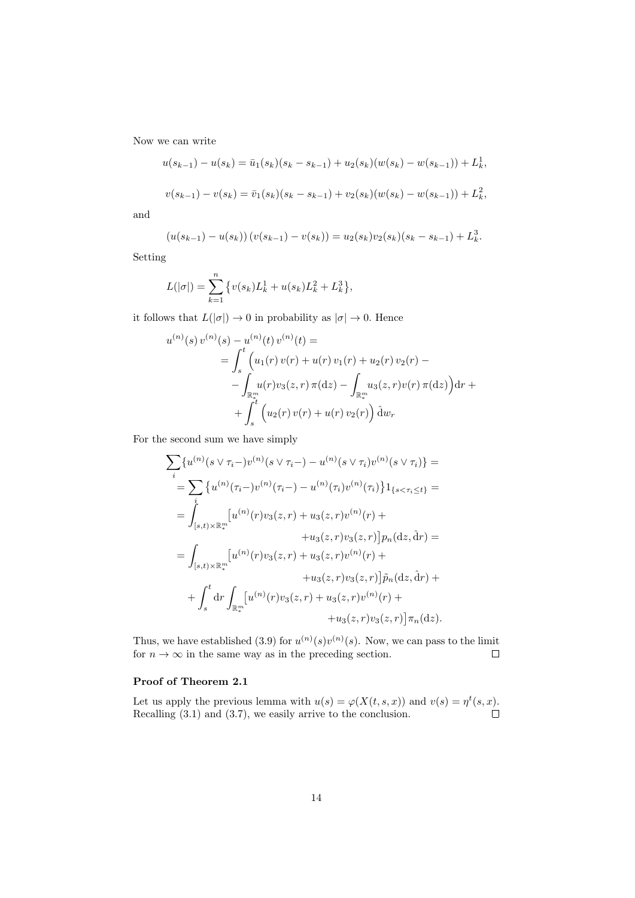Now we can write

$$
u(s_{k-1}) - u(s_k) = \bar{u}_1(s_k)(s_k - s_{k-1}) + u_2(s_k)(w(s_k) - w(s_{k-1})) + L_k^1,
$$
  

$$
v(s_{k-1}) - v(s_k) = \bar{v}_1(s_k)(s_k - s_{k-1}) + v_2(s_k)(w(s_k) - w(s_{k-1})) + L_k^2,
$$

and

$$
(u(s_{k-1}) - u(s_k)) (v(s_{k-1}) - v(s_k)) = u_2(s_k)v_2(s_k)(s_k - s_{k-1}) + L_k^3.
$$

Setting

$$
L(|\sigma|) = \sum_{k=1}^{n} \{v(s_k)L_k^1 + u(s_k)L_k^2 + L_k^3\},\,
$$

it follows that  $L(|\sigma|) \to 0$  in probability as  $|\sigma| \to 0$ . Hence

$$
u^{(n)}(s) v^{(n)}(s) - u^{(n)}(t) v^{(n)}(t) =
$$
  
= 
$$
\int_{s}^{t} \left( u_1(r) v(r) + u(r) v_1(r) + u_2(r) v_2(r) - \int_{\mathbb{R}_{+}^{m}} u_1(r) v_3(z, r) \pi(\mathrm{d}z) - \int_{\mathbb{R}_{+}^{m}} u_3(z, r) v(r) \pi(\mathrm{d}z) \right) \mathrm{d}r +
$$
  
+ 
$$
\int_{s}^{t} \left( u_2(r) v(r) + u(r) v_2(r) \right) \mathrm{d}w_r
$$

For the second sum we have simply

$$
\sum_{i} \{u^{(n)}(s \vee \tau_{i}-)v^{(n)}(s \vee \tau_{i}-) - u^{(n)}(s \vee \tau_{i})v^{(n)}(s \vee \tau_{i})\} =
$$
\n
$$
= \sum_{i} \{u^{(n)}(\tau_{i}-)v^{(n)}(\tau_{i}-) - u^{(n)}(\tau_{i})v^{(n)}(\tau_{i})\}1_{\{s < \tau_{i} \le t\}} =
$$
\n
$$
= \int_{[s,t) \times \mathbb{R}_{*}^{m}} [u^{(n)}(r)v_{3}(z,r) + u_{3}(z,r)v^{(n)}(r) +
$$
\n
$$
+ u_{3}(z,r)v_{3}(z,r)]p_{n}(\mathrm{d}z, \hat{\mathrm{d}}r) =
$$
\n
$$
= \int_{[s,t) \times \mathbb{R}_{*}^{m}} [u^{(n)}(r)v_{3}(z,r) + u_{3}(z,r)v^{(n)}(r) +
$$
\n
$$
+ u_{3}(z,r)v_{3}(z,r)]\tilde{p}_{n}(\mathrm{d}z, \hat{\mathrm{d}}r) +
$$
\n
$$
+ \int_{s}^{t} \mathrm{d}r \int_{\mathbb{R}_{*}^{m}} [u^{(n)}(r)v_{3}(z,r) + u_{3}(z,r)v^{(n)}(r) +
$$
\n
$$
+ u_{3}(z,r)v_{3}(z,r)]\pi_{n}(\mathrm{d}z).
$$

Thus, we have established (3.9) for  $u^{(n)}(s)v^{(n)}(s)$ . Now, we can pass to the limit for  $n \to \infty$  in the same way as in the preceding section.  $\Box$ 

### **Proof of Theorem 2.1**

Let us apply the previous lemma with  $u(s) = \varphi(X(t, s, x))$  and  $v(s) = \eta^t(s, x)$ . Recalling (3*.*1) and (3*.*7), we easily arrive to the conclusion.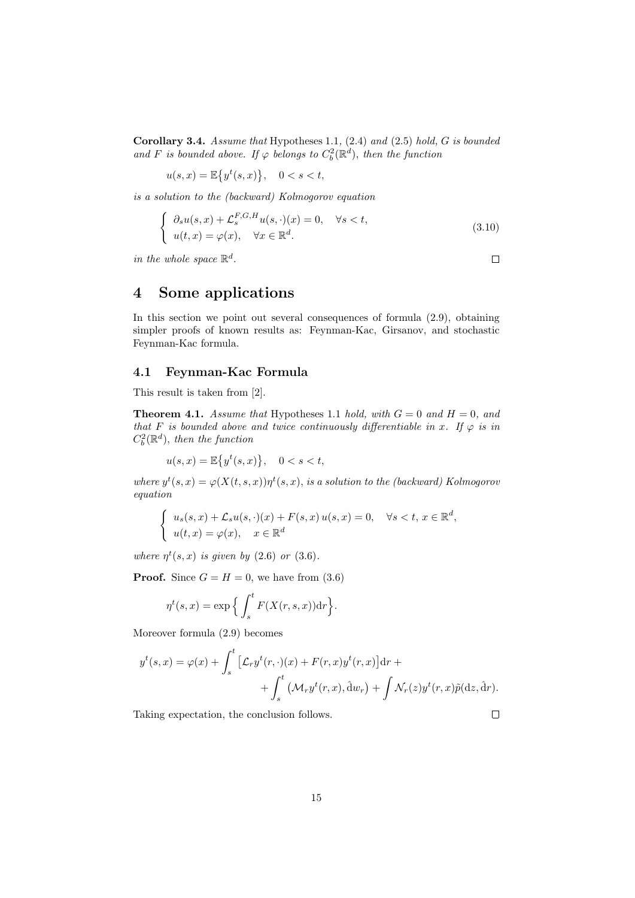**Corollary 3.4.** *Assume that* Hypotheses 1.1*,* (2.4) *and* (2.5) *hold, G is bounded and F is bounded above.* If  $\varphi$  *belongs to*  $C_b^2(\mathbb{R}^d)$ *, then the function* 

$$
u(s,x) = \mathbb{E}\left\{y^t(s,x)\right\}, \quad 0 < s < t,
$$

*is a solution to the (backward) Kolmogorov equation*

$$
\begin{cases}\n\partial_s u(s,x) + \mathcal{L}_s^{F,G,H} u(s,\cdot)(x) = 0, & \forall s < t, \\
u(t,x) = \varphi(x), & \forall x \in \mathbb{R}^d.\n\end{cases}
$$
\n(3.10)

*in the whole space*  $\mathbb{R}^d$ .

**4 Some applications**

In this section we point out several consequences of formula (2.9), obtaining simpler proofs of known results as: Feynman-Kac, Girsanov, and stochastic Feynman-Kac formula.

#### **4.1 Feynman-Kac Formula**

This result is taken from [2].

**Theorem 4.1.** *Assume that* Hypotheses 1.1 *hold, with*  $G = 0$  *and*  $H = 0$ *, and that F is bounded above and twice continuously differentiable in x. If*  $\varphi$  *is in*  $C_b^2(\mathbb{R}^d)$ *, then the function* 

$$
u(s,x) = \mathbb{E}\left\{y^t(s,x)\right\}, \quad 0 < s < t,
$$

*where*  $y^t(s, x) = \varphi(X(t, s, x))\eta^t(s, x)$ , *is a solution to the (backward) Kolmogorov equation*

$$
\begin{cases}\n u_s(s,x) + \mathcal{L}_s u(s,\cdot)(x) + F(s,x) u(s,x) = 0, & \forall s < t, x \in \mathbb{R}^d, \\
 u(t,x) = \varphi(x), & x \in \mathbb{R}^d\n\end{cases}
$$

*where*  $\eta^t(s, x)$  *is given by* (2.6) *or* (3.6)*.* 

**Proof.** Since  $G = H = 0$ , we have from (3.6)

$$
\eta^t(s,x) = \exp\Big\{\int_s^t F(X(r,s,x))\mathrm{d}r\Big\}.
$$

Moreover formula (2.9) becomes

$$
y^{t}(s,x) = \varphi(x) + \int_{s}^{t} \left[ \mathcal{L}_{r} y^{t}(r,\cdot)(x) + F(r,x)y^{t}(r,x) \right] dr + + \int_{s}^{t} \left( \mathcal{M}_{r} y^{t}(r,x), \hat{d}w_{r} \right) + \int \mathcal{N}_{r}(z) y^{t}(r,x) \tilde{p}(dz, \hat{d}r).
$$

Taking expectation, the conclusion follows.

 $\Box$ 

 $\Box$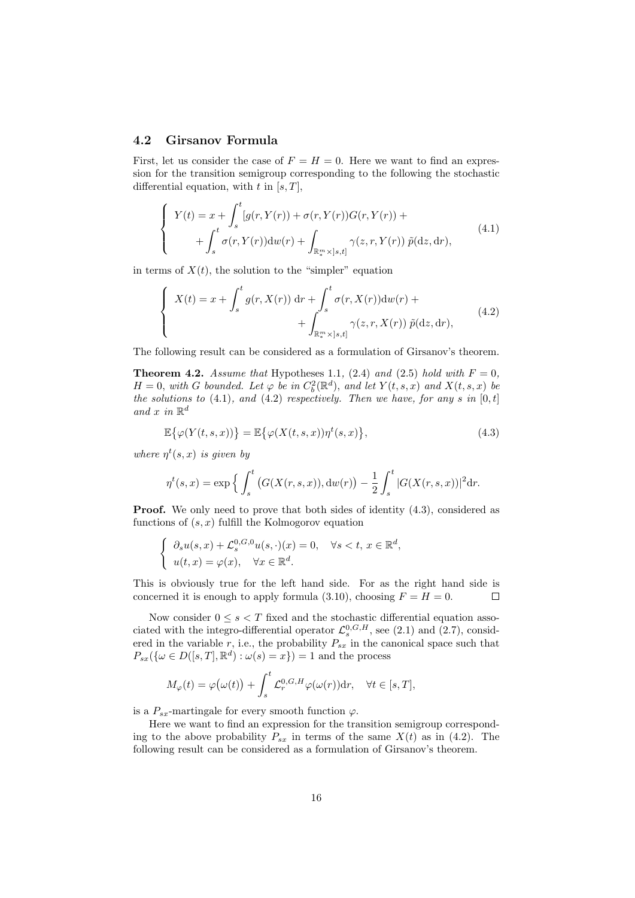#### **4.2 Girsanov Formula**

First, let us consider the case of  $F = H = 0$ . Here we want to find an expression for the transition semigroup corresponding to the following the stochastic differential equation, with *t* in [*s, T*],

$$
\begin{cases}\nY(t) = x + \int_{s}^{t} [g(r, Y(r)) + \sigma(r, Y(r))G(r, Y(r)) + \\
\quad + \int_{s}^{t} \sigma(r, Y(r)) \, dw(r) + \int_{\mathbb{R}_{*}^{m} \times ]s, t]} \gamma(z, r, Y(r)) \, \tilde{p}(\mathrm{d}z, \mathrm{d}r),\n\end{cases} \tag{4.1}
$$

in terms of  $X(t)$ , the solution to the "simpler" equation

$$
\begin{cases}\nX(t) = x + \int_{s}^{t} g(r, X(r)) dr + \int_{s}^{t} \sigma(r, X(r)) dw(r) + \n+ \int_{\mathbb{R}_{*}^{m} \times ]s, t]}^{t} \gamma(z, r, X(r)) \tilde{p}(dz, dr),\n\end{cases} \tag{4.2}
$$

The following result can be considered as a formulation of Girsanov's theorem.

**Theorem 4.2.** *Assume that* Hypotheses 1.1, (2.4) and (2.5) *hold with*  $F = 0$ *,*  $H = 0$ *, with G bounded.* Let  $\varphi$  *be in*  $C_b^2(\mathbb{R}^d)$ *, and let*  $Y(t, s, x)$  *and*  $X(t, s, x)$  *be the solutions to* (4.1)*, and* (4.2) *respectively. Then we have, for any s in* [0*, t*] and  $x$  in  $\mathbb{R}^d$ 

$$
\mathbb{E}\big\{\varphi(Y(t,s,x))\big\} = \mathbb{E}\big\{\varphi(X(t,s,x))\eta^t(s,x)\big\},\tag{4.3}
$$

*where*  $\eta^t(s, x)$  *is given by* 

$$
\eta^{t}(s,x) = \exp \left\{ \int_{s}^{t} \left( G(X(r,s,x)), \mathrm{d}w(r) \right) - \frac{1}{2} \int_{s}^{t} |G(X(r,s,x))|^{2} \mathrm{d}r. \right\}
$$

**Proof.** We only need to prove that both sides of identity  $(4.3)$ , considered as functions of (*s, x*) fulfill the Kolmogorov equation

$$
\begin{cases} \partial_s u(s,x) + \mathcal{L}_s^{0,G,0} u(s,\cdot)(x) = 0, \quad \forall s < t, \, x \in \mathbb{R}^d, \\ u(t,x) = \varphi(x), \quad \forall x \in \mathbb{R}^d. \end{cases}
$$

This is obviously true for the left hand side. For as the right hand side is concerned it is enough to apply formula (3.10), choosing  $F = H = 0$ .  $\Box$ 

Now consider  $0 \leq s < T$  fixed and the stochastic differential equation associated with the integro-differential operator  $\mathcal{L}_{s}^{0, G, H}$ , see (2.1) and (2.7), considered in the variable  $r$ , i.e., the probability  $P_{sx}$  in the canonical space such that  $P_{sx}(\{\omega \in D([s,T], \mathbb{R}^d) : \omega(s) = x\}) = 1$  and the process

$$
M_{\varphi}(t) = \varphi\big(\omega(t)\big) + \int_{s}^{t} \mathcal{L}_{r}^{0,G,H} \varphi\big(\omega(r)\big) dr, \quad \forall t \in [s,T],
$$

is a  $P_{sx}$ -martingale for every smooth function  $\varphi$ .

Here we want to find an expression for the transition semigroup corresponding to the above probability  $P_{sx}$  in terms of the same  $X(t)$  as in (4.2). The following result can be considered as a formulation of Girsanov's theorem.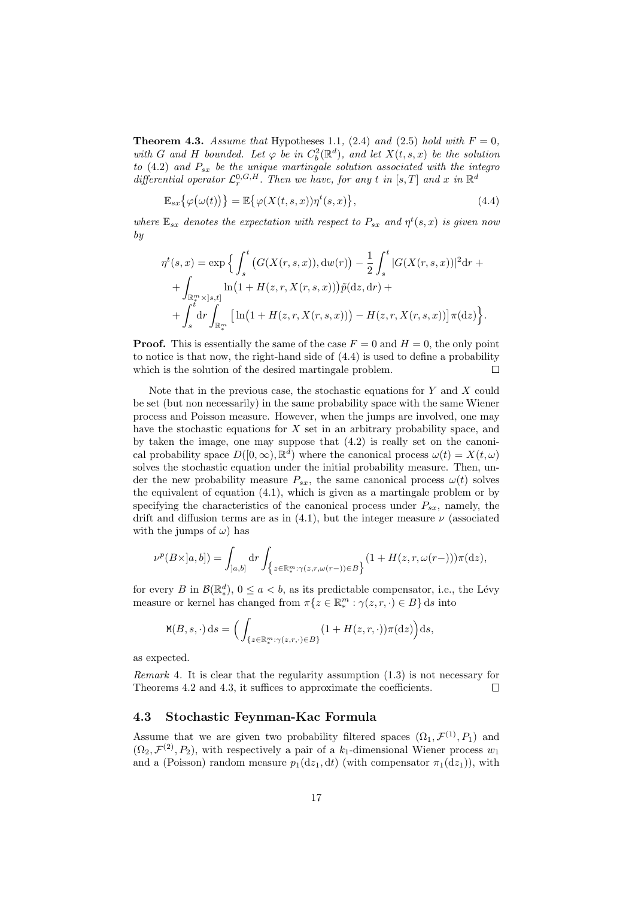**Theorem 4.3.** *Assume that* Hypotheses 1.1, (2.4) and (2.5) *hold with*  $F = 0$ *, with G* and *H bounded.* Let  $\varphi$  *be in*  $C_b^2(\mathbb{R}^d)$ *, and let*  $X(t, s, x)$  *be the solution to* (4.2) *and Psx be the unique martingale solution associated with the integro differential operator*  $\mathcal{L}_r^{0, G, H}$ *. Then we have, for any t in* [*s,T*] *and x in*  $\mathbb{R}^d$ 

$$
\mathbb{E}_{sx}\{\varphi\big(\omega(t)\big)\} = \mathbb{E}\{\varphi(X(t,s,x))\eta^t(s,x)\},\tag{4.4}
$$

*where*  $\mathbb{E}_{sx}$  *denotes the expectation with respect to*  $P_{sx}$  *and*  $\eta^t(s, x)$  *is given now by*

$$
\eta^{t}(s,x) = \exp \Big\{ \int_{s}^{t} \big( G(X(r,s,x)), \mathrm{d}w(r) \big) - \frac{1}{2} \int_{s}^{t} |G(X(r,s,x))|^{2} \mathrm{d}r + \\ + \int_{\mathbb{R}_{+}^{m} \times ]s,t]} \ln(1 + H(z,r,X(r,s,x))) \tilde{p}(\mathrm{d}z, \mathrm{d}r) + \\ + \int_{s}^{t} \mathrm{d}r \int_{\mathbb{R}_{+}^{m}} \big[ \ln(1 + H(z,r,X(r,s,x))) - H(z,r,X(r,s,x)) \big] \pi(\mathrm{d}z) \Big\}.
$$

**Proof.** This is essentially the same of the case  $F = 0$  and  $H = 0$ , the only point to notice is that now, the right-hand side of (4.4) is used to define a probability which is the solution of the desired martingale problem.  $\Box$ 

Note that in the previous case, the stochastic equations for *Y* and *X* could be set (but non necessarily) in the same probability space with the same Wiener process and Poisson measure. However, when the jumps are involved, one may have the stochastic equations for *X* set in an arbitrary probability space, and by taken the image, one may suppose that (4.2) is really set on the canonical probability space  $D([0,\infty), \mathbb{R}^d)$  where the canonical process  $\omega(t) = X(t,\omega)$ solves the stochastic equation under the initial probability measure. Then, under the new probability measure  $P_{sx}$ , the same canonical process  $\omega(t)$  solves the equivalent of equation (4.1), which is given as a martingale problem or by specifying the characteristics of the canonical process under  $P_{sx}$ , namely, the drift and diffusion terms are as in  $(4.1)$ , but the integer measure  $\nu$  (associated with the jumps of  $\omega$ ) has

$$
\nu^p(B\times]a,b])=\int_{]a,b]}{\rm d}r\int_{\left\{z\in\mathbb{R}_*^m:\gamma(z,r,\omega(r-))\in B\right\}}(1+H(z,r,\omega(r-)))\pi({\rm d}z),
$$

for every *B* in  $\mathcal{B}(\mathbb{R}_{*}^{d}), 0 \leq a < b$ , as its predictable compensator, i.e., the Lévy measure or kernel has changed from  $\pi\{z \in \mathbb{R}^m_* : \gamma(z, r, \cdot) \in B\}$  d*s* into

$$
\mathtt{M}(B,s,\cdot)\,\mathrm{d} s = \Big(\int_{\{z\in\mathbb{R}^m_+\,:\,\gamma(z,r,\cdot)\in B\}} (1+H(z,r,\cdot))\pi(\mathrm{d} z)\Big)\mathrm{d} s,
$$

as expected.

*Remark* 4*.* It is clear that the regularity assumption (1.3) is not necessary for Theorems 4.2 and 4.3, it suffices to approximate the coefficients.  $\Box$ 

#### **4.3 Stochastic Feynman-Kac Formula**

Assume that we are given two probability filtered spaces  $(\Omega_1, \mathcal{F}^{(1)}, P_1)$  and  $(\Omega_2, \mathcal{F}^{(2)}, P_2)$ , with respectively a pair of a *k*<sub>1</sub>-dimensional Wiener process *w*<sub>1</sub> and a (Poisson) random measure  $p_1(\mathrm{d}z_1, \mathrm{d}t)$  (with compensator  $\pi_1(\mathrm{d}z_1)$ ), with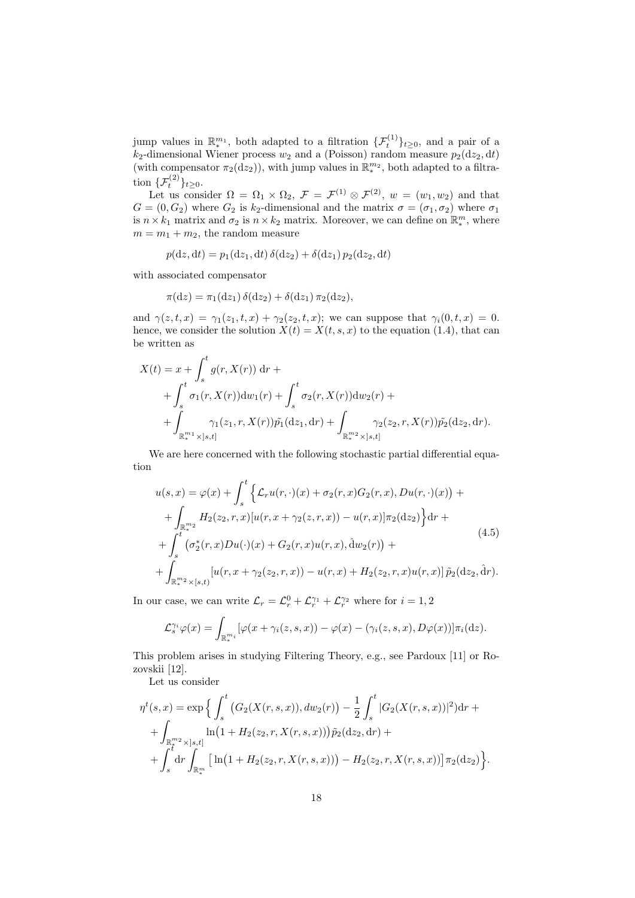jump values in  $\mathbb{R}_{*}^{m_1}$ , both adapted to a filtration  $\{\mathcal{F}_t^{(1)}\}_{t\geq0}$ , and a pair of a  $k_2$ -dimensional Wiener process  $w_2$  and a (Poisson) random measure  $p_2(\text{d}z_2, \text{d}t)$ (with compensator  $\pi_2(\text{d}z_2)$ ), with jump values in  $\mathbb{R}^{m_2}_*$ , both adapted to a filtration  $\{F_t^{(2)}\}_{t \geq 0}$ .

Let us consider  $\Omega = \Omega_1 \times \Omega_2$ ,  $\mathcal{F} = \mathcal{F}^{(1)} \otimes \mathcal{F}^{(2)}$ ,  $w = (w_1, w_2)$  and that  $G = (0, G_2)$  where  $G_2$  is  $k_2$ -dimensional and the matrix  $\sigma = (\sigma_1, \sigma_2)$  where  $\sigma_1$ is  $n \times k_1$  matrix and  $\sigma_2$  is  $n \times k_2$  matrix. Moreover, we can define on  $\mathbb{R}^m_*$ , where  $m = m_1 + m_2$ , the random measure

$$
p(\mathrm{d}z, \mathrm{d}t) = p_1(\mathrm{d}z_1, \mathrm{d}t) \,\delta(\mathrm{d}z_2) + \delta(\mathrm{d}z_1) \, p_2(\mathrm{d}z_2, \mathrm{d}t)
$$

with associated compensator

$$
\pi(\mathrm{d}z) = \pi_1(\mathrm{d}z_1)\,\delta(\mathrm{d}z_2) + \delta(\mathrm{d}z_1)\,\pi_2(\mathrm{d}z_2),
$$

and  $\gamma(z, t, x) = \gamma_1(z_1, t, x) + \gamma_2(z_2, t, x)$ ; we can suppose that  $\gamma_i(0, t, x) = 0$ . hence, we consider the solution  $X(t) = X(t, s, x)$  to the equation (1.4), that can be written as

$$
X(t) = x + \int_{s}^{t} g(r, X(r)) dr +
$$
  
+ 
$$
\int_{s}^{t} \sigma_{1}(r, X(r)) dw_{1}(r) + \int_{s}^{t} \sigma_{2}(r, X(r)) dw_{2}(r) +
$$
  
+ 
$$
\int_{\mathbb{R}_{*}^{m_{1}} \times ]s,t]} \gamma_{1}(z_{1}, r, X(r)) \tilde{p_{1}}(dz_{1}, dr) + \int_{\mathbb{R}_{*}^{m_{2}} \times ]s,t]} \gamma_{2}(z_{2}, r, X(r)) \tilde{p_{2}}(dz_{2}, dr).
$$

We are here concerned with the following stochastic partial differential equation

$$
u(s,x) = \varphi(x) + \int_{s}^{t} \left\{ \mathcal{L}_{r}u(r,\cdot)(x) + \sigma_{2}(r,x)G_{2}(r,x), Du(r,\cdot)(x) \right\} + + \int_{\mathbb{R}_{*}^{m_{2}}} H_{2}(z_{2},r,x)[u(r,x+\gamma_{2}(z,r,x)) - u(r,x)]\pi_{2}(dz_{2}) \right\} dr + + \int_{s}^{t} (\sigma_{2}^{*}(r,x)Du(\cdot)(x) + G_{2}(r,x)u(r,x), \hat{d}w_{2}(r)) + + \int_{\mathbb{R}_{*}^{m_{2}} \times [s,t)} [u(r,x+\gamma_{2}(z_{2},r,x)) - u(r,x) + H_{2}(z_{2},r,x)u(r,x)] \tilde{p}_{2}(dz_{2},\hat{d}r).
$$
 (4.5)

In our case, we can write  $\mathcal{L}_r = \mathcal{L}_r^0 + \mathcal{L}_r^{\gamma_1} + \mathcal{L}_r^{\gamma_2}$  where for  $i = 1, 2$ 

$$
\mathcal{L}_s^{\gamma_i}\varphi(x)=\int_{\mathbb{R}_*^{m_i}}[\varphi(x+\gamma_i(z,s,x))-\varphi(x)-(\gamma_i(z,s,x),D\varphi(x))]\pi_i(\mathrm{d}z).
$$

This problem arises in studying Filtering Theory, e.g., see Pardoux [11] or Rozovskii [12].

Let us consider

$$
\eta^{t}(s,x) = \exp \Big\{ \int_{s}^{t} \big( G_{2}(X(r,s,x)), dw_{2}(r) \big) - \frac{1}{2} \int_{s}^{t} |G_{2}(X(r,s,x))|^{2} \big) dr + \int_{\mathbb{R}_{*}^{m_{2}} \times ]s,t]} \ln(1 + H_{2}(z_{2},r,X(r,s,x))) \tilde{p}_{2}(dz_{2},dr) + \int_{s}^{t} dr \int_{\mathbb{R}_{*}^{m}} \big[ \ln(1 + H_{2}(z_{2},r,X(r,s,x))) - H_{2}(z_{2},r,X(r,s,x)) \big] \pi_{2}(dz_{2}) \Big\}.
$$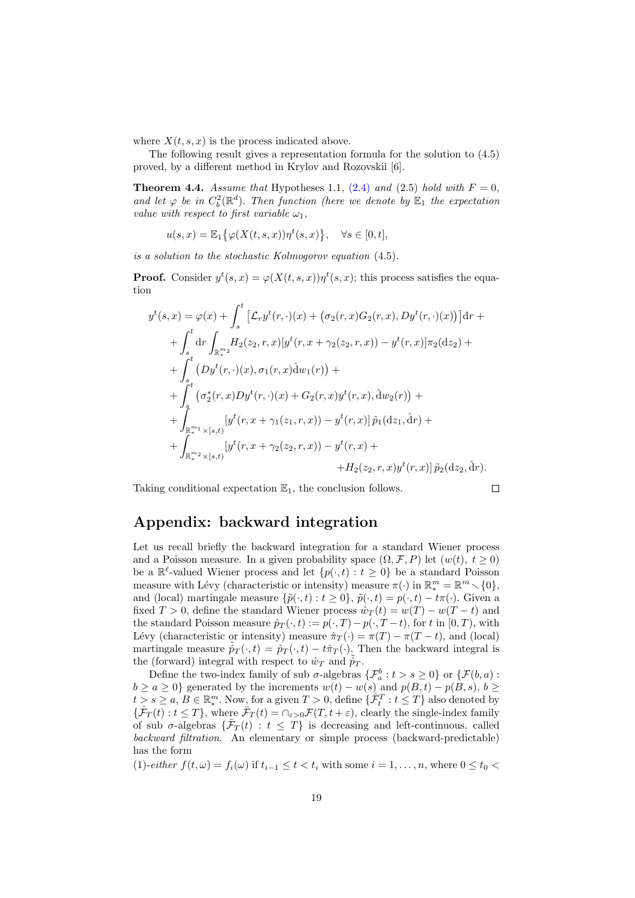where  $X(t, s, x)$  is the process indicated above.

The following result gives a representation formula for the solution to (4.5) proved, by a different method in Krylov and Rozovskii [6].

**Theorem 4.4.** *Assume that* Hypotheses 1.1, (2.4) and (2.5) *hold with*  $F = 0$ *, and let*  $\varphi$  *be in*  $C_b^2(\mathbb{R}^d)$ *. Then function (here we denote by*  $\mathbb{E}_1$  *the expectation value with respect to first variable*  $\omega_1$ ,

$$
u(s,x) = \mathbb{E}_1\big\{\varphi(X(t,s,x))\eta^t(s,x)\big\}, \quad \forall s \in [0,t],
$$

*is a solution to the stochastic Kolmogorov equation* (4.5)*.*

**Proof.** Consider  $y^t(s, x) = \varphi(X(t, s, x))\eta^t(s, x)$ ; this process satisfies the equation

$$
y^{t}(s,x) = \varphi(x) + \int_{s}^{t} \left[ \mathcal{L}_{r} y^{t}(r, \cdot)(x) + (\sigma_{2}(r, x)G_{2}(r, x), Dy^{t}(r, \cdot)(x)) \right] dr +
$$
  
+ 
$$
\int_{s}^{t} dr \int_{\mathbb{R}_{*}^{m_{2}}} H_{2}(z_{2}, r, x)[y^{t}(r, x + \gamma_{2}(z_{2}, r, x)) - y^{t}(r, x)]\pi_{2}(dz_{2}) +
$$
  
+ 
$$
\int_{s}^{t} (Dy^{t}(r, \cdot)(x), \sigma_{1}(r, x)dw_{1}(r)) +
$$
  
+ 
$$
\int_{s}^{t} (\sigma_{2}^{*}(r, x)Dy^{t}(r, \cdot)(x) + G_{2}(r, x)y^{t}(r, x), dw_{2}(r)) +
$$
  
+ 
$$
\int_{\mathbb{R}_{*}^{m_{1}} \times [s, t)} [y^{t}(r, x + \gamma_{1}(z_{1}, r, x)) - y^{t}(r, x)] \tilde{p}_{1}(dz_{1}, \hat{d}r) +
$$
  
+ 
$$
\int_{\mathbb{R}_{*}^{m_{2}} \times [s, t)} [y^{t}(r, x + \gamma_{2}(z_{2}, r, x)) - y^{t}(r, x) +
$$
  
+ 
$$
H_{2}(z_{2}, r, x)y^{t}(r, x)] \tilde{p}_{2}(dz_{2}, \hat{d}r).
$$

Taking conditional expectation  $\mathbb{E}_1$ , the conclusion follows.

$$
\Box
$$

# **Appendix: backward integration**

Let us recall briefly the backward integration for a standard Wiener process and a Poisson measure. In a given probability space  $(\Omega, \mathcal{F}, P)$  let  $(w(t), t \geq 0)$ be a  $\mathbb{R}^{\ell}$ -valued Wiener process and let  $\{p(\cdot, t) : t \geq 0\}$  be a standard Poisson measure with Lévy (characteristic or intensity) measure  $\pi(\cdot)$  in  $\mathbb{R}_{*}^{m} = \mathbb{R}^{m} \setminus \{0\},$ and (local) martingale measure  $\{\tilde{p}(\cdot,t): t \geq 0\}$ ,  $\tilde{p}(\cdot,t) = p(\cdot,t) - t\pi(\cdot)$ . Given a fixed  $T > 0$ , define the standard Wiener process  $\hat{w}_T(t) = w(T) - w(T - t)$  and the standard Poisson measure  $\hat{p}_T(\cdot, t) := p(\cdot, T) - p(\cdot, T - t)$ , for t in [0, T], with Lévy (characteristic or intensity) measure  $\hat{\pi}_T(\cdot) = \pi(T) - \pi(T - t)$ , and (local) martingale measure  $\hat{p}_T(\cdot, t) = \hat{p}_T(\cdot, t) - t\hat{\pi}_T(\cdot)$ . Then the backward integral is the (forward) integral with respect to  $\hat{w}_T$  and  $\hat{p}_T$ .

Define the two-index family of sub  $\sigma$ -algebras  $\{\mathcal{F}_a^b : t > s \ge 0\}$  or  $\{\mathcal{F}(b, a) :$  $b \ge a \ge 0$ } generated by the increments  $w(t) - w(s)$  and  $p(B, t) - p(B, s)$ ,  $b \ge$  $t > s \ge a, B \in \mathbb{R}_*^m$ . Now, for a given  $T > 0$ , define  $\{\hat{\mathcal{F}}_t^T : t \le T\}$  also denoted by  $\{\hat{\mathcal{F}}_T(t): t \leq T\}$ , where  $\hat{\mathcal{F}}_T(t) = \bigcap_{\varepsilon > 0} \mathcal{F}(T, t + \varepsilon)$ , clearly the single-index family of sub  $\sigma$ -algebras  $\{\bar{\mathcal{F}}_T(t) : t \leq T\}$  is decreasing and left-continuous, called *backward filtration*. An elementary or simple process (backward-predictable) has the form

(1)-*either*  $f(t, \omega) = f_i(\omega)$  if  $t_{i-1} \le t < t_i$  with some  $i = 1, \ldots, n$ , where  $0 \le t_0 <$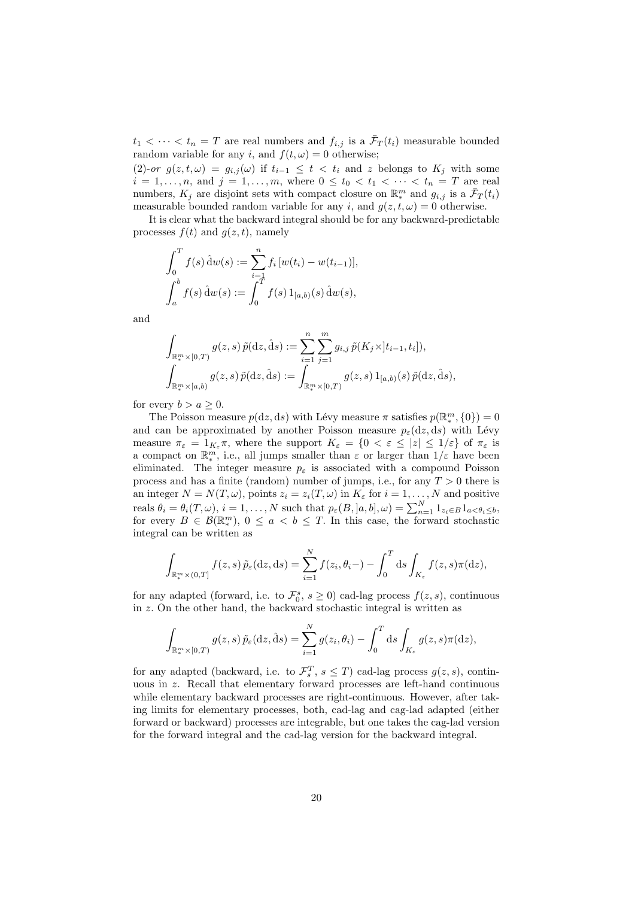$t_1 < \cdots < t_n = T$  are real numbers and  $f_{i,j}$  is a  $\bar{\mathcal{F}}_T(t_i)$  measurable bounded random variable for any *i*, and  $f(t, \omega) = 0$  otherwise;

(2)-*or*  $g(z, t, \omega) = g_{i,j}(\omega)$  if  $t_{i-1} \leq t < t_i$  and *z* belongs to  $K_j$  with some  $i = 1, \ldots, n$ , and  $j = 1, \ldots, m$ , where  $0 \le t_0 < t_1 < \cdots < t_n = T$  are real numbers,  $K_j$  are disjoint sets with compact closure on  $\mathbb{R}^m_*$  and  $g_{i,j}$  is a  $\bar{\mathcal{F}}_T(t_i)$ measurable bounded random variable for any *i*, and  $g(z, t, \omega) = 0$  otherwise.

It is clear what the backward integral should be for any backward-predictable processes  $f(t)$  and  $g(z, t)$ , namely

$$
\int_0^T f(s) \, \hat{d}w(s) := \sum_{i=1}^n f_i \left[ w(t_i) - w(t_{i-1}) \right],
$$
  

$$
\int_a^b f(s) \, \hat{d}w(s) := \int_0^T f(s) \, 1_{[a,b)}(s) \, \hat{d}w(s),
$$

and

$$
\int_{\mathbb{R}_{*}^{m}\times[0,T)}g(z,s)\,\tilde{p}(\mathrm{d}z,\hat{\mathrm{d}}s):=\sum_{i=1}^{n}\sum_{j=1}^{m}g_{i,j}\,\tilde{p}(K_{j}\times[t_{i-1},t_{i}]),\n\int_{\mathbb{R}_{*}^{m}\times[a,b)}g(z,s)\,\tilde{p}(\mathrm{d}z,\hat{\mathrm{d}}s):=\int_{\mathbb{R}_{*}^{m}\times[0,T)}g(z,s)\,\mathbf{1}_{[a,b)}(s)\,\tilde{p}(\mathrm{d}z,\hat{\mathrm{d}}s),
$$

for every  $b > a > 0$ .

The Poisson measure  $p(\mathrm{d}z, \mathrm{d}s)$  with Lévy measure  $\pi$  satisfies  $p(\mathbb{R}_{*}^{m}, \{0\}) = 0$ and can be approximated by another Poisson measure  $p_{\varepsilon}(dz, ds)$  with Lévy measure  $\pi_{\varepsilon} = 1_{K_{\varepsilon}} \pi$ , where the support  $K_{\varepsilon} = \{0 < \varepsilon \le |z| \le 1/\varepsilon\}$  of  $\pi_{\varepsilon}$  is a compact on  $\mathbb{R}^m_*$ , i.e., all jumps smaller than  $\varepsilon$  or larger than  $1/\varepsilon$  have been eliminated. The integer measure  $p_{\varepsilon}$  is associated with a compound Poisson process and has a finite (random) number of jumps, i.e., for any *T >* 0 there is an integer  $N = N(T, \omega)$ , points  $z_i = z_i(T, \omega)$  in  $K_{\varepsilon}$  for  $i = 1, \ldots, N$  and positive reals  $\theta_i = \theta_i(T, \omega), i = 1, ..., N$  such that  $p_{\varepsilon}(B, [a, b], \omega) = \sum_{n=1}^{N} 1_{z_i \in B} 1_{a < \theta_i \le b},$ for every  $B \in \mathcal{B}(\mathbb{R}^m_*)$ ,  $0 \le a < b \le T$ . In this case, the forward stochastic integral can be written as

$$
\int_{\mathbb{R}^m_*(0,T]} f(z,s) \, \tilde{p}_{\varepsilon}(\mathrm{d}z,\mathrm{d}s) = \sum_{i=1}^N f(z_i,\theta_i-) - \int_0^T \mathrm{d}s \int_{K_{\varepsilon}} f(z,s)\pi(\mathrm{d}z),
$$

for any adapted (forward, i.e. to  $\mathcal{F}_0^s$ ,  $s \geq 0$ ) cad-lag process  $f(z, s)$ , continuous in *z.* On the other hand, the backward stochastic integral is written as

$$
\int_{\mathbb{R}_{\ast}^{m}\times[0,T)}g(z,s)\,\tilde{p}_{\varepsilon}(\mathrm{d}z,\hat{\mathrm{d}}s)=\sum_{i=1}^{N}g(z_{i},\theta_{i})-\int_{0}^{T}\mathrm{d}s\int_{K_{\varepsilon}}g(z,s)\pi(\mathrm{d}z),
$$

for any adapted (backward, i.e. to  $\mathcal{F}_s^T$ ,  $s \leq T$ ) cad-lag process  $g(z, s)$ , continuous in *z*. Recall that elementary forward processes are left-hand continuous while elementary backward processes are right-continuous. However, after taking limits for elementary processes, both, cad-lag and cag-lad adapted (either forward or backward) processes are integrable, but one takes the cag-lad version for the forward integral and the cad-lag version for the backward integral.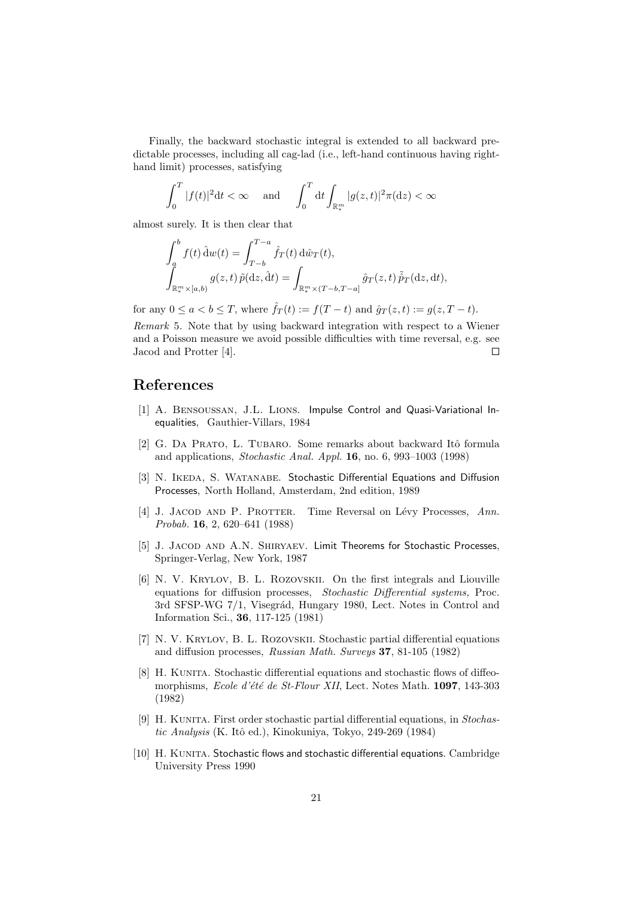Finally, the backward stochastic integral is extended to all backward predictable processes, including all cag-lad (i.e., left-hand continuous having righthand limit) processes, satisfying

$$
\int_0^T |f(t)|^2 dt < \infty \quad \text{and} \quad \int_0^T dt \int_{\mathbb{R}^m_*} |g(z,t)|^2 \pi (dz) < \infty
$$

almost surely. It is then clear that

$$
\int_a^b f(t) \, \hat{\mathrm{d}}w(t) = \int_{T-b}^{T-a} \hat{f}_T(t) \, \mathrm{d}\hat{w}_T(t),
$$
\n
$$
\int_{\mathbb{R}_*^m \times [a,b)} g(z,t) \, \tilde{p}(\mathrm{d}z, \hat{\mathrm{d}}t) = \int_{\mathbb{R}_*^m \times (T-b, T-a]} \hat{g}_T(z,t) \, \hat{\tilde{p}}_T(\mathrm{d}z, \mathrm{d}t),
$$

for any  $0 \le a < b \le T$ , where  $\hat{f}_T(t) := f(T - t)$  and  $\hat{g}_T(z, t) := g(z, T - t)$ .

*Remark* 5*.* Note that by using backward integration with respect to a Wiener and a Poisson measure we avoid possible difficulties with time reversal, e.g. see  $\Box$ Jacod and Protter [4].

# **References**

- [1] A. Bensoussan, J.L. Lions. Impulse Control and Quasi-Variational Inequalities, Gauthier-Villars, 1984
- [2] G. DA PRATO, L. TUBARO. Some remarks about backward Itô formula and applications, *Stochastic Anal. Appl.* **16**, no. 6, 993–1003 (1998)
- [3] N. IKEDA, S. WATANABE. Stochastic Differential Equations and Diffusion Processes, North Holland, Amsterdam, 2nd edition, 1989
- [4] J. Jacod and P. Protter. Time Reversal on L´evy Processes, *Ann. Probab.* **16**, 2, 620–641 (1988)
- [5] J. JACOD AND A.N. SHIRYAEV. Limit Theorems for Stochastic Processes, Springer-Verlag, New York, 1987
- [6] N. V. Krylov, B. L. Rozovskii. On the first integrals and Liouville equations for diffusion processes, *Stochastic Differential systems,* Proc. 3rd SFSP-WG 7/1, Visegrád, Hungary 1980, Lect. Notes in Control and Information Sci., **36**, 117-125 (1981)
- [7] N. V. Krylov, B. L. Rozovskii. Stochastic partial differential equations and diffusion processes, *Russian Math. Surveys* **37**, 81-105 (1982)
- [8] H. KUNITA. Stochastic differential equations and stochastic flows of diffeomorphisms, *Ecole d'´et´e de St-Flour XII*, Lect. Notes Math. **1097**, 143-303 (1982)
- [9] H. KUNITA. First order stochastic partial differential equations, in *Stochastic Analysis* (K. Itˆo ed.), Kinokuniya, Tokyo, 249-269 (1984)
- [10] H. KUNITA. Stochastic flows and stochastic differential equations. Cambridge University Press 1990